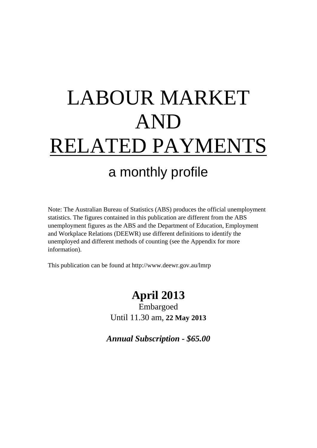# LABOUR MARKET AND RELATED PAYMENTS a monthly profile

Note: The Australian Bureau of Statistics (ABS) produces the official unemployment statistics. The figures contained in this publication are different from the ABS unemployment figures as the ABS and the Department of Education, Employment and Workplace Relations (DEEWR) use different definitions to identify the unemployed and different methods of counting (see the Appendix for more information).

This publication can be found at http://www.deewr.gov.au/lmrp

## **April 2013**

Embargoed Until 11.30 am, **22 May 2013**

*Annual Subscription - \$65.00*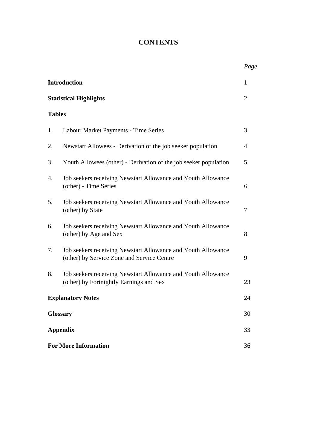## **CONTENTS**

|               |                                                                                                            | Page           |
|---------------|------------------------------------------------------------------------------------------------------------|----------------|
|               | <b>Introduction</b>                                                                                        | $\mathbf{1}$   |
|               | <b>Statistical Highlights</b>                                                                              | $\overline{2}$ |
| <b>Tables</b> |                                                                                                            |                |
| 1.            | Labour Market Payments - Time Series                                                                       | 3              |
| 2.            | Newstart Allowees - Derivation of the job seeker population                                                | 4              |
| 3.            | Youth Allowees (other) - Derivation of the job seeker population                                           | 5              |
| 4.            | Job seekers receiving Newstart Allowance and Youth Allowance<br>(other) - Time Series                      | 6              |
| 5.            | Job seekers receiving Newstart Allowance and Youth Allowance<br>(other) by State                           | 7              |
| 6.            | Job seekers receiving Newstart Allowance and Youth Allowance<br>(other) by Age and Sex                     | 8              |
| 7.            | Job seekers receiving Newstart Allowance and Youth Allowance<br>(other) by Service Zone and Service Centre | 9              |
| 8.            | Job seekers receiving Newstart Allowance and Youth Allowance<br>(other) by Fortnightly Earnings and Sex    | 23             |
|               | <b>Explanatory Notes</b>                                                                                   | 24             |
|               | <b>Glossary</b>                                                                                            | 30             |
|               | <b>Appendix</b>                                                                                            | 33             |
|               | <b>For More Information</b>                                                                                | 36             |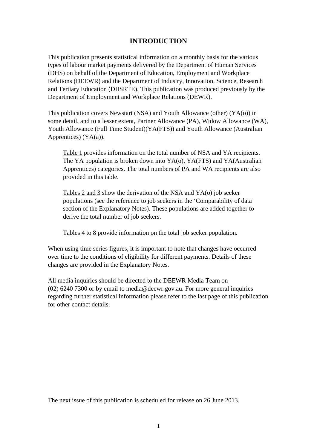### **INTRODUCTION**

This publication presents statistical information on a monthly basis for the various types of labour market payments delivered by the Department of Human Services (DHS) on behalf of the Department of Education, Employment and Workplace Relations (DEEWR) and the Department of Industry, Innovation, Science, Research and Tertiary Education (DIISRTE). This publication was produced previously by the Department of Employment and Workplace Relations (DEWR).

This publication covers Newstart (NSA) and Youth Allowance (other) (YA(o)) in some detail, and to a lesser extent, Partner Allowance (PA), Widow Allowance (WA), Youth Allowance (Full Time Student)(YA(FTS)) and Youth Allowance (Australian Apprentices) (YA(a)).

Table 1 provides information on the total number of NSA and YA recipients. The YA population is broken down into YA(o), YA(FTS) and YA(Australian Apprentices) categories. The total numbers of PA and WA recipients are also provided in this table.

Tables 2 and 3 show the derivation of the NSA and YA(o) job seeker populations (see the reference to job seekers in the 'Comparability of data' section of the Explanatory Notes). These populations are added together to derive the total number of job seekers.

Tables 4 to 8 provide information on the total job seeker population.

When using time series figures, it is important to note that changes have occurred over time to the conditions of eligibility for different payments. Details of these changes are provided in the Explanatory Notes.

All media inquiries should be directed to the DEEWR Media Team on (02) 6240 7300 or by email to media@deewr.gov.au. For more general inquiries regarding further statistical information please refer to the last page of this publication for other contact details.

The next issue of this publication is scheduled for release on 26 June 2013.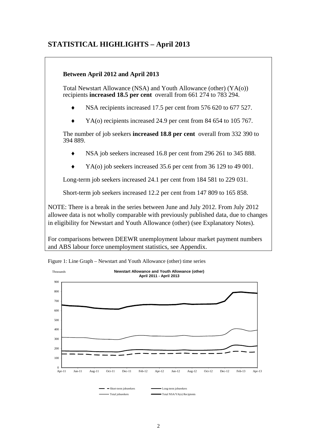## **STATISTICAL HIGHLIGHTS – April 2013**

#### **Between April 2012 and April 2013**

Total Newstart Allowance (NSA) and Youth Allowance (other) (YA(o)) recipients **increased 18.5 per cent** overall from 661 274 to 783 294.

- NSA recipients increased 17.5 per cent from 576 620 to 677 527.
- YA(o) recipients increased 24.9 per cent from 84 654 to 105 767.

The number of job seekers **increased 18.8 per cent** overall from 332 390 to 394 889.

- NSA job seekers increased 16.8 per cent from 296 261 to 345 888.
- YA(o) job seekers increased 35.6 per cent from 36 129 to 49 001.

Long-term job seekers increased 24.1 per cent from 184 581 to 229 031.

Short-term job seekers increased 12.2 per cent from 147 809 to 165 858.

NOTE: There is a break in the series between June and July 2012. From July 2012 allowee data is not wholly comparable with previously published data, due to changes in eligibility for Newstart and Youth Allowance (other) (see Explanatory Notes).

For comparisons between DEEWR unemployment labour market payment numbers and ABS labour force unemployment statistics, see Appendix.



Figure 1: Line Graph – Newstart and Youth Allowance (other) time series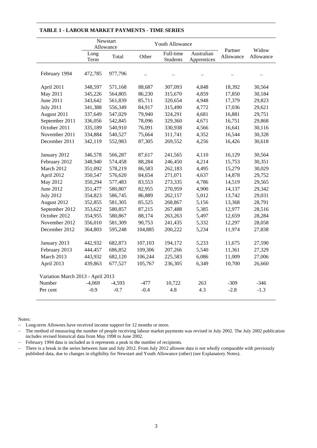|                                   |              | Newstart<br>Allowance | Youth Allowance      |                       |                           |                      |                    |
|-----------------------------------|--------------|-----------------------|----------------------|-----------------------|---------------------------|----------------------|--------------------|
|                                   | Long<br>Term | Total                 | Other                | Full-time<br>Students | Australian<br>Apprentices | Partner<br>Allowance | Widow<br>Allowance |
| February 1994                     | 472,785      | 977,796               | $\ddot{\phantom{a}}$ | $\ddot{\phantom{0}}$  |                           | $\ddot{\phantom{a}}$ |                    |
| April 2011                        | 348,597      | 571,168               | 88,687               | 307,093               | 4,848                     | 18,392               | 30,564             |
| May 2011                          | 345,226      | 564,805               | 86,230               | 315,670               | 4,859                     | 17,850               | 30,184             |
| June 2011                         | 343,642      | 561,839               | 85,711               | 320,654               | 4,948                     | 17,379               | 29,823             |
| <b>July 2011</b>                  | 341,388      | 556,349               | 84,917               | 315,490               | 4,772                     | 17,036               | 29,621             |
| August 2011                       | 337,649      | 547,029               | 79,940               | 324,291               | 4,681                     | 16,881               | 29,751             |
| September 2011                    | 336,056      | 542,845               | 78,096               | 329,360               | 4,671                     | 16,751               | 29,868             |
| October 2011                      | 335,189      | 540,910               | 76,091               | 330,938               | 4,566                     | 16,641               | 30,116             |
| November 2011                     | 334,884      | 540,527               | 75,664               | 311,741               | 4,352                     | 16,544               | 30,328             |
| December 2011                     | 342,119      | 552,983               | 87,305               | 269,552               | 4,256                     | 16,426               | 30,618             |
| January 2012                      | 346,578      | 566,287               | 87,617               | 241,565               | 4,110                     | 16,129               | 30,564             |
| February 2012                     | 348,940      | 574,458               | 88,284               | 246,450               | 4,214                     | 15,753               | 30,351             |
| March 2012                        | 351,092      | 578,219               | 86,583               | 262,183               | 4,495                     | 15,279               | 30,029             |
| April 2012                        | 350,547      | 576,620               | 84,654               | 271,071               | 4,637                     | 14,878               | 29,752             |
| May 2012                          | 350,294      | 577,483               | 83,553               | 273,335               | 4,786                     | 14,519               | 29,565             |
| June 2012                         | 351,477      | 580,807               | 82,955               | 270,959               | 4,900                     | 14,137               | 29,342             |
| <b>July 2012</b>                  | 354,823      | 586,745               | 86,889               | 262,157               | 5,012                     | 13,742               | 29,031             |
| August 2012                       | 352,855      | 581,305               | 85,525               | 268,867               | 5,156                     | 13,368               | 28,791             |
| September 2012                    | 353,622      | 580,857               | 87,215               | 267,488               | 5,385                     | 12,977               | 28,516             |
| October 2012                      | 354,955      | 580,867               | 88,174               | 263,263               | 5,497                     | 12,659               | 28,284             |
| November 2012                     | 356,010      | 581,309               | 90,753               | 241,435               | 5,332                     | 12,297               | 28,058             |
| December 2012                     | 364,803      | 595,248               | 104,885              | 200,222               | 5,234                     | 11,974               | 27,838             |
| January 2013                      | 442,932      | 682,873               | 107,103              | 194,172               | 5,233                     | 11,675               | 27,590             |
| February 2013                     | 444,457      | 686,852               | 109,306              | 207,266               | 5,540                     | 11,361               | 27,329             |
| March 2013                        | 443,932      | 682,120               | 106,244              | 225,583               | 6,086                     | 11,009               | 27,006             |
| April 2013                        | 439,863      | 677,527               | 105,767              | 236,305               | 6,349                     | 10,700               | 26,660             |
| Variation March 2013 - April 2013 |              |                       |                      |                       |                           |                      |                    |
| Number                            | $-4,069$     | $-4,593$              | $-477$               | 10,722                | 263                       | $-309$               | $-346$             |
| Per cent                          | $-0.9$       | $-0.7$                | $-0.4$               | 4.8                   | 4.3                       | $-2.8$               | $-1.3$             |

#### **TABLE 1 - LABOUR MARKET PAYMENTS - TIME SERIES**

Notes:

- Long-term Allowees have received income support for 12 months or more.

 The method of measuring the number of people receiving labour market payments was revised in July 2002. The July 2002 publication includes revised historical data from May 1998 to June 2002.

- February 1994 data is included as it represents a peak in the number of recipients.

- There is a break in the series between June and July 2012. From July 2012 allowee data is not wholly comparable with previously published data, due to changes in eligibility for Newstart and Youth Allowance (other) (see Explanatory Notes).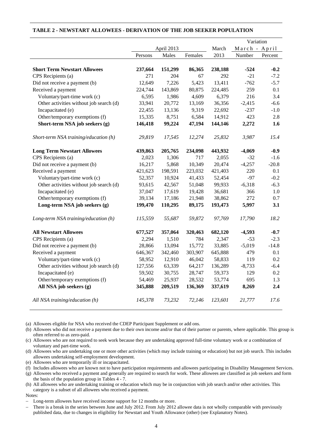|                                         |            |         |         |               | Variation |         |
|-----------------------------------------|------------|---------|---------|---------------|-----------|---------|
|                                         | April 2013 |         | March   | March - April |           |         |
|                                         | Persons    | Males   | Females | 2013          | Number    | Percent |
|                                         |            |         |         |               |           |         |
| <b>Short Term Newstart Allowees</b>     | 237,664    | 151,299 | 86,365  | 238,188       | $-524$    | $-0.2$  |
| CPS Recipients (a)                      | 271        | 204     | 67      | 292           | $-21$     | $-7.2$  |
| Did not receive a payment (b)           | 12,649     | 7,226   | 5,423   | 13,411        | $-762$    | $-5.7$  |
| Received a payment                      | 224,744    | 143,869 | 80,875  | 224,485       | 259       | 0.1     |
| Voluntary/part-time work (c)            | 6,595      | 1,986   | 4,609   | 6,379         | 216       | 3.4     |
| Other activities without job search (d) | 33,941     | 20,772  | 13,169  | 36,356        | $-2,415$  | $-6.6$  |
| Incapacitated (e)                       | 22,455     | 13,136  | 9,319   | 22,692        | $-237$    | $-1.0$  |
| Other/temporary exemptions (f)          | 15,335     | 8,751   | 6,584   | 14,912        | 423       | 2.8     |
| Short-term NSA job seekers (g)          | 146,418    | 99,224  | 47,194  | 144,146       | 2,272     | 1.6     |
| Short-term NSA training/education (h)   | 29,819     | 17,545  | 12,274  | 25,832        | 3,987     | 15.4    |
| <b>Long Term Newstart Allowees</b>      | 439,863    | 205,765 | 234,098 | 443,932       | $-4,069$  | $-0.9$  |
| CPS Recipients (a)                      | 2,023      | 1,306   | 717     | 2,055         | $-32$     | $-1.6$  |
| Did not receive a payment (b)           | 16,217     | 5,868   | 10,349  | 20,474        | $-4,257$  | $-20.8$ |
| Received a payment                      | 421,623    | 198,591 | 223,032 | 421,403       | 220       | 0.1     |
| Voluntary/part-time work (c)            | 52,357     | 10,924  | 41,433  | 52,454        | $-97$     | $-0.2$  |
| Other activities without job search (d) | 93,615     | 42,567  | 51,048  | 99,933        | $-6,318$  | $-6.3$  |
| Incapacitated (e)                       | 37,047     | 17,619  | 19,428  | 36,681        | 366       | 1.0     |
| Other/temporary exemptions (f)          | 39,134     | 17,186  | 21,948  | 38,862        | 272       | 0.7     |
| Long-term NSA job seekers (g)           | 199,470    | 110,295 | 89,175  | 193,473       | 5,997     | 3.1     |
| Long-term NSA training/education (h)    | 115,559    | 55,687  | 59,872  | 97,769        | 17,790    | 18.2    |
| <b>All Newstart Allowees</b>            | 677,527    | 357,064 | 320,463 | 682,120       | $-4,593$  | $-0.7$  |
| CPS Recipients (a)                      | 2,294      | 1,510   | 784     | 2,347         | $-53$     | $-2.3$  |
| Did not receive a payment (b)           | 28,866     | 13,094  | 15,772  | 33,885        | $-5,019$  | $-14.8$ |
| Received a payment                      | 646,367    | 342,460 | 303,907 | 645,888       | 479       | 0.1     |
| Voluntary/part-time work (c)            | 58,952     | 12,910  | 46,042  | 58,833        | 119       | 0.2     |
| Other activities without job search (d) | 127,556    | 63,339  | 64,217  | 136,289       | $-8,733$  | $-6.4$  |
| Incapacitated (e)                       | 59,502     | 30,755  | 28,747  | 59,373        | 129       | 0.2     |
| Other/temporary exemptions (f)          | 54,469     | 25,937  | 28,532  | 53,774        | 695       | 1.3     |
| All NSA job seekers (g)                 | 345,888    | 209,519 | 136,369 | 337,619       | 8,269     | 2.4     |
| All NSA training/education (h)          | 145,378    | 73,232  | 72.146  | 123,601       | 21,777    | 17.6    |

#### **TABLE 2 - NEWSTART ALLOWEES - DERIVATION OF THE JOB SEEKER POPULATION**

(a) Allowees eligible for NSA who received the CDEP Participant Supplement or add ons.

(b) Allowees who did not receive a payment due to their own income and/or that of their partner or parents, where applicable. This group is often referred to as zero-paid.

(c) Allowees who are not required to seek work because they are undertaking approved full-time voluntary work or a combination of voluntary and part-time work.

(d) Allowees who are undertaking one or more other activities (which may include training or education) but not job search. This includes allowees undertaking self-employment development.

(e) Allowees who are temporarily ill or incapacitated.

(f) Includes allowees who are known not to have participation requirements and allowees participating in Disability Management Services.

(g) Allowees who received a payment and generally are required to search for work. These allowees are classified as job seekers and form the basis of the population group in Tables 4 - 7.

(h) All allowees who are undertaking training or education which may be in conjunction with job search and/or other activities. This category is a subset of all allowees who received a payment.

Notes:

Long-term allowees have received income support for 12 months or more.

 There is a break in the series between June and July 2012. From July 2012 allowee data is not wholly comparable with previously published data, due to changes in eligibility for Newstart and Youth Allowance (other) (see Explanatory Notes).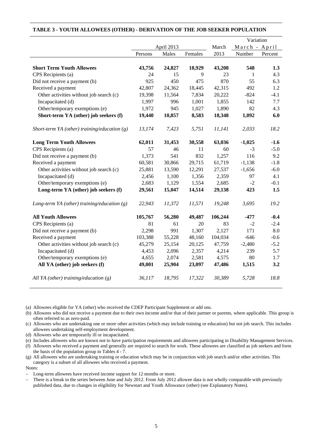|                                                |         |            |         |         | Variation     |         |
|------------------------------------------------|---------|------------|---------|---------|---------------|---------|
|                                                |         | April 2013 |         | March   | March - April |         |
|                                                | Persons | Males      | Females | 2013    | Number        | Percent |
|                                                |         |            |         |         |               |         |
| <b>Short Term Youth Allowees</b>               | 43,756  | 24,827     | 18,929  | 43,208  | 548           | 1.3     |
| CPS Recipients (a)                             | 24      | 15         | 9       | 23      | 1             | 4.3     |
| Did not receive a payment (b)                  | 925     | 450        | 475     | 870     | 55            | 6.3     |
| Received a payment                             | 42,807  | 24,362     | 18,445  | 42,315  | 492           | 1.2     |
| Other activities without job search (c)        | 19,398  | 11,564     | 7,834   | 20,222  | $-824$        | $-4.1$  |
| Incapacitated (d)                              | 1,997   | 996        | 1,001   | 1,855   | 142           | 7.7     |
| Other/temporary exemptions (e)                 | 1,972   | 945        | 1,027   | 1,890   | 82            | 4.3     |
| Short-term YA (other) job seekers (f)          | 19,440  | 10,857     | 8,583   | 18,348  | 1,092         | 6.0     |
| Short-term YA (other) training/education $(g)$ | 13,174  | 7,423      | 5,751   | 11,141  | 2,033         | 18.2    |
| <b>Long Term Youth Allowees</b>                | 62,011  | 31,453     | 30,558  | 63,036  | $-1,025$      | $-1.6$  |
| CPS Recipients (a)                             | 57      | 46         | 11      | 60      | $-3$          | $-5.0$  |
| Did not receive a payment (b)                  | 1,373   | 541        | 832     | 1,257   | 116           | 9.2     |
| Received a payment                             | 60,581  | 30,866     | 29,715  | 61,719  | $-1,138$      | $-1.8$  |
| Other activities without job search (c)        | 25,881  | 13,590     | 12,291  | 27,537  | $-1,656$      | $-6.0$  |
| Incapacitated (d)                              | 2,456   | 1,100      | 1,356   | 2,359   | 97            | 4.1     |
| Other/temporary exemptions (e)                 | 2,683   | 1,129      | 1,554   | 2,685   | $-2$          | $-0.1$  |
| Long-term YA (other) job seekers (f)           | 29,561  | 15,047     | 14,514  | 29,138  | 423           | 1.5     |
| Long-term YA (other) training/education $(g)$  | 22,943  | 11,372     | 11,571  | 19,248  | 3,695         | 19.2    |
| <b>All Youth Allowees</b>                      | 105,767 | 56,280     | 49,487  | 106,244 | $-477$        | $-0.4$  |
| CPS Recipients (a)                             | 81      | 61         | 20      | 83      | $-2$          | $-2.4$  |
| Did not receive a payment (b)                  | 2,298   | 991        | 1,307   | 2,127   | 171           | 8.0     |
| Received a payment                             | 103,388 | 55,228     | 48,160  | 104,034 | $-646$        | $-0.6$  |
| Other activities without job search (c)        | 45,279  | 25,154     | 20,125  | 47,759  | $-2,480$      | $-5.2$  |
| Incapacitated (d)                              | 4,453   | 2,096      | 2,357   | 4,214   | 239           | 5.7     |
| Other/temporary exemptions (e)                 | 4,655   | 2,074      | 2,581   | 4,575   | 80            | 1.7     |
| All YA (other) job seekers (f)                 | 49,001  | 25,904     | 23,097  | 47,486  | 1,515         | 3.2     |
| All YA (other) training/education $(g)$        | 36,117  | 18,795     | 17,322  | 30,389  | 5,728         | 18.8    |

#### **TABLE 3 - YOUTH ALLOWEES (OTHER) - DERIVATION OF THE JOB SEEKER POPULATION**

(a) Allowees eligible for YA (other) who received the CDEP Participant Supplement or add ons.

(b) Allowees who did not receive a payment due to their own income and/or that of their partner or parents, where applicable. This group is often referred to as zero-paid.

(c) Allowees who are undertaking one or more other activities (which may include training or education) but not job search. This includes allowees undertaking self-employment development.

(d) Allowees who are temporarily ill or incapacitated.

(e) Includes allowees who are known not to have participation requirements and allowees participating in Disability Management Services.

(f) Allowees who received a payment and generally are required to search for work. These allowees are classified as job seekers and form the basis of the population group in Tables 4 - 7.

(g) All allowees who are undertaking training or education which may be in conjunction with job search and/or other activities. This category is a subset of all allowees who received a payment.

Notes:

Long-term allowees have received income support for 12 months or more.

 There is a break in the series between June and July 2012. From July 2012 allowee data is not wholly comparable with previously published data, due to changes in eligibility for Newstart and Youth Allowance (other) (see Explanatory Notes).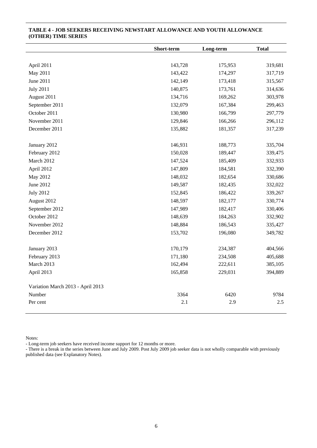|                                   | Short-term | Long-term | <b>Total</b> |
|-----------------------------------|------------|-----------|--------------|
|                                   |            |           |              |
| April 2011                        | 143,728    | 175,953   | 319,681      |
| May 2011                          | 143,422    | 174,297   | 317,719      |
| June 2011                         | 142,149    | 173,418   | 315,567      |
| <b>July 2011</b>                  | 140,875    | 173,761   | 314,636      |
| August 2011                       | 134,716    | 169,262   | 303,978      |
| September 2011                    | 132,079    | 167,384   | 299,463      |
| October 2011                      | 130,980    | 166,799   | 297,779      |
| November 2011                     | 129,846    | 166,266   | 296,112      |
| December 2011                     | 135,882    | 181,357   | 317,239      |
|                                   |            |           |              |
| January 2012                      | 146,931    | 188,773   | 335,704      |
| February 2012                     | 150,028    | 189,447   | 339,475      |
| March 2012                        | 147,524    | 185,409   | 332,933      |
| April 2012                        | 147,809    | 184,581   | 332,390      |
| May 2012                          | 148,032    | 182,654   | 330,686      |
| June 2012                         | 149,587    | 182,435   | 332,022      |
| <b>July 2012</b>                  | 152,845    | 186,422   | 339,267      |
| August 2012                       | 148,597    | 182,177   | 330,774      |
| September 2012                    | 147,989    | 182,417   | 330,406      |
| October 2012                      | 148,639    | 184,263   | 332,902      |
| November 2012                     | 148,884    | 186,543   | 335,427      |
| December 2012                     | 153,702    | 196,080   | 349,782      |
|                                   |            |           |              |
| January 2013                      | 170,179    | 234,387   | 404,566      |
| February 2013                     | 171,180    | 234,508   | 405,688      |
| March 2013                        | 162,494    | 222,611   | 385,105      |
| April 2013                        | 165,858    | 229,031   | 394,889      |
| Variation March 2013 - April 2013 |            |           |              |
| Number                            | 3364       | 6420      | 9784         |
| Per cent                          | 2.1        | 2.9       | 2.5          |

#### **TABLE 4 - JOB SEEKERS RECEIVING NEWSTART ALLOWANCE AND YOUTH ALLOWANCE (OTHER) TIME SERIES**

Notes:

- Long-term job seekers have received income support for 12 months or more.

- There is a break in the series between June and July 2009. Post July 2009 job seeker data is not wholly comparable with previously published data (see Explanatory Notes).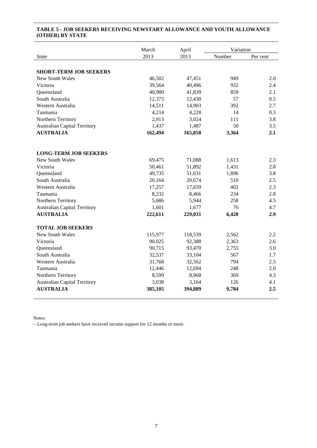#### **TABLE 5 - JOB SEEKERS RECEIVING NEWSTART ALLOWANCE AND YOUTH ALLOWANCE (OTHER) BY STATE**

|                                     | March   | April   | Variation |          |
|-------------------------------------|---------|---------|-----------|----------|
| <b>State</b>                        | 2013    | 2013    | Number    | Per cent |
|                                     |         |         |           |          |
| <b>SHORT-TERM JOB SEEKERS</b>       |         |         |           |          |
| New South Wales                     | 46,502  | 47,451  | 949       | 2.0      |
| Victoria                            | 39,564  | 40,496  | 932       | 2.4      |
| Queensland                          | 40,980  | 41,839  | 859       | 2.1      |
| South Australia                     | 12,373  | 12,430  | 57        | 0.5      |
| Western Australia                   | 14,511  | 14,903  | 392       | 2.7      |
| Tasmania                            | 4,214   | 4,228   | 14        | 0.3      |
| Northern Territory                  | 2,913   | 3,024   | 111       | 3.8      |
| <b>Australian Capital Territory</b> | 1,437   | 1,487   | 50        | 3.5      |
| <b>AUSTRALIA</b>                    | 162,494 | 165,858 | 3,364     | 2.1      |
|                                     |         |         |           |          |
| <b>LONG-TERM JOB SEEKERS</b>        |         |         |           |          |
| <b>New South Wales</b>              | 69,475  | 71,088  | 1,613     | 2.3      |
| Victoria                            | 50,461  | 51,892  | 1,431     | 2.8      |
| Queensland                          | 49,735  | 51,631  | 1,896     | 3.8      |
| South Australia                     | 20,164  | 20,674  | 510       | 2.5      |
| Western Australia                   | 17,257  | 17,659  | 402       | 2.3      |
| Tasmania                            | 8,232   | 8,466   | 234       | 2.8      |
| Northern Territory                  | 5,686   | 5,944   | 258       | 4.5      |
| <b>Australian Capital Territory</b> | 1,601   | 1,677   | 76        | 4.7      |
| <b>AUSTRALIA</b>                    | 222,611 | 229,031 | 6,420     | 2.9      |
| <b>TOTAL JOB SEEKERS</b>            |         |         |           |          |
| <b>New South Wales</b>              | 115,977 | 118,539 | 2,562     | 2.2      |
| Victoria                            | 90,025  | 92,388  | 2,363     | 2.6      |
| Queensland                          | 90,715  | 93,470  | 2,755     | 3.0      |
| South Australia                     | 32,537  | 33,104  | 567       | 1.7      |
| Western Australia                   | 31,768  | 32,562  | 794       | 2.5      |
| Tasmania                            | 12,446  | 12,694  | 248       | 2.0      |
| Northern Territory                  | 8,599   | 8,968   | 369       | 4.3      |
| <b>Australian Capital Territory</b> | 3,038   | 3,164   | 126       | 4.1      |
| <b>AUSTRALIA</b>                    | 385,105 | 394,889 | 9,784     | $2.5\,$  |

Notes:

Long-term job seekers have received income support for 12 months or more.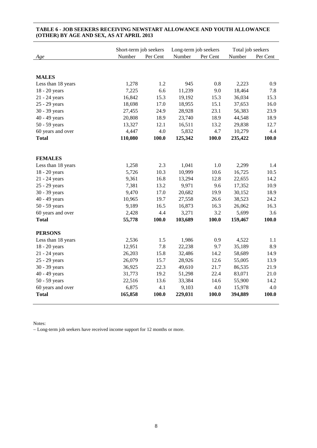|                    | Short-term job seekers |          |         | Long-term job seekers |         | Total job seekers |  |
|--------------------|------------------------|----------|---------|-----------------------|---------|-------------------|--|
| Age                | Number                 | Per Cent | Number  | Per Cent              | Number  | Per Cent          |  |
|                    |                        |          |         |                       |         |                   |  |
|                    |                        |          |         |                       |         |                   |  |
| <b>MALES</b>       |                        |          |         |                       |         |                   |  |
| Less than 18 years | 1,278                  | 1.2      | 945     | 0.8                   | 2,223   | 0.9               |  |
| 18 - 20 years      | 7,225                  | 6.6      | 11,239  | 9.0                   | 18,464  | 7.8               |  |
| 21 - 24 years      | 16,842                 | 15.3     | 19,192  | 15.3                  | 36,034  | 15.3              |  |
| 25 - 29 years      | 18,698                 | 17.0     | 18,955  | 15.1                  | 37,653  | 16.0              |  |
| 30 - 39 years      | 27,455                 | 24.9     | 28,928  | 23.1                  | 56,383  | 23.9              |  |
| 40 - 49 years      | 20,808                 | 18.9     | 23,740  | 18.9                  | 44,548  | 18.9              |  |
| $50 - 59$ years    | 13,327                 | 12.1     | 16,511  | 13.2                  | 29,838  | 12.7              |  |
| 60 years and over  | 4,447                  | 4.0      | 5,832   | 4.7                   | 10,279  | 4.4               |  |
| <b>Total</b>       | 110,080                | 100.0    | 125,342 | 100.0                 | 235,422 | 100.0             |  |
|                    |                        |          |         |                       |         |                   |  |
|                    |                        |          |         |                       |         |                   |  |
| <b>FEMALES</b>     |                        |          |         |                       |         |                   |  |
| Less than 18 years | 1,258                  | 2.3      | 1,041   | $1.0\,$               | 2,299   | 1.4               |  |
| 18 - 20 years      | 5,726                  | 10.3     | 10,999  | 10.6                  | 16,725  | 10.5              |  |
| 21 - 24 years      | 9,361                  | 16.8     | 13,294  | 12.8                  | 22,655  | 14.2              |  |
| 25 - 29 years      | 7,381                  | 13.2     | 9,971   | 9.6                   | 17,352  | 10.9              |  |
| 30 - 39 years      | 9,470                  | 17.0     | 20,682  | 19.9                  | 30,152  | 18.9              |  |
| 40 - 49 years      | 10,965                 | 19.7     | 27,558  | 26.6                  | 38,523  | 24.2              |  |
| 50 - 59 years      | 9,189                  | 16.5     | 16,873  | 16.3                  | 26,062  | 16.3              |  |
| 60 years and over  | 2,428                  | 4.4      | 3,271   | 3.2                   | 5,699   | 3.6               |  |
| <b>Total</b>       | 55,778                 | 100.0    | 103,689 | 100.0                 | 159,467 | 100.0             |  |
|                    |                        |          |         |                       |         |                   |  |
| <b>PERSONS</b>     |                        |          |         |                       |         |                   |  |
| Less than 18 years | 2,536                  | 1.5      | 1,986   | 0.9                   | 4,522   | 1.1               |  |
| 18 - 20 years      | 12,951                 | 7.8      | 22,238  | 9.7                   | 35,189  | 8.9               |  |
| 21 - 24 years      | 26,203                 | 15.8     | 32,486  | 14.2                  | 58,689  | 14.9              |  |
| 25 - 29 years      | 26,079                 | 15.7     | 28,926  | 12.6                  | 55,005  | 13.9              |  |
| 30 - 39 years      | 36,925                 | 22.3     | 49,610  | 21.7                  | 86,535  | 21.9              |  |
| 40 - 49 years      | 31,773                 | 19.2     | 51,298  | 22.4                  | 83,071  | 21.0              |  |
| 50 - 59 years      | 22,516                 | 13.6     | 33,384  | 14.6                  | 55,900  | 14.2              |  |
| 60 years and over  | 6,875                  | 4.1      | 9,103   | 4.0                   | 15,978  | 4.0               |  |
| <b>Total</b>       | 165,858                | 100.0    | 229,031 | 100.0                 | 394,889 | 100.0             |  |
|                    |                        |          |         |                       |         |                   |  |

#### **TABLE 6 - JOB SEEKERS RECEIVING NEWSTART ALLOWANCE AND YOUTH ALLOWANCE (OTHER) BY AGE AND SEX, AS AT APRIL 2013**

Notes:

Long-term job seekers have received income support for 12 months or more.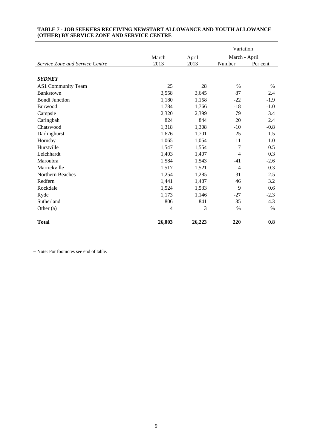|                                 |        |        | Variation      |          |  |
|---------------------------------|--------|--------|----------------|----------|--|
|                                 | March  | April  | March - April  |          |  |
| Service Zone and Service Centre | 2013   | 2013   | Number         | Per cent |  |
|                                 |        |        |                |          |  |
| <b>SYDNEY</b>                   |        |        |                |          |  |
| AS1 Community Team              | 25     | 28     | $\%$           | $\%$     |  |
| Bankstown                       | 3,558  | 3,645  | 87             | 2.4      |  |
| <b>Bondi Junction</b>           | 1,180  | 1,158  | $-22$          | $-1.9$   |  |
| Burwood                         | 1,784  | 1,766  | $-18$          | $-1.0$   |  |
| Campsie                         | 2,320  | 2,399  | 79             | 3.4      |  |
| Caringbah                       | 824    | 844    | 20             | 2.4      |  |
| Chatswood                       | 1,318  | 1,308  | $-10$          | $-0.8$   |  |
| Darlinghurst                    | 1,676  | 1,701  | 25             | 1.5      |  |
| Hornsby                         | 1,065  | 1,054  | $-11$          | $-1.0$   |  |
| Hurstville                      | 1,547  | 1,554  | 7              | 0.5      |  |
| Leichhardt                      | 1,403  | 1,407  | $\overline{4}$ | 0.3      |  |
| Maroubra                        | 1,584  | 1,543  | $-41$          | $-2.6$   |  |
| Marrickville                    | 1,517  | 1,521  | $\overline{4}$ | 0.3      |  |
| Northern Beaches                | 1,254  | 1,285  | 31             | 2.5      |  |
| Redfern                         | 1,441  | 1,487  | 46             | 3.2      |  |
| Rockdale                        | 1,524  | 1,533  | 9              | 0.6      |  |
| Ryde                            | 1,173  | 1,146  | $-27$          | $-2.3$   |  |
| Sutherland                      | 806    | 841    | 35             | 4.3      |  |
| Other (a)                       | 4      | 3      | $\%$           | $\%$     |  |
| <b>Total</b>                    | 26,003 | 26,223 | 220            | 0.8      |  |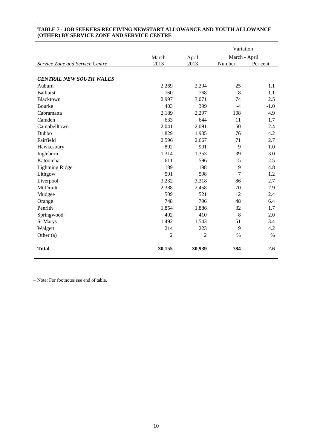|                                 |                |                | Variation     |          |
|---------------------------------|----------------|----------------|---------------|----------|
|                                 | March          | April          | March - April |          |
| Service Zone and Service Centre | 2013           | 2013           | Number        | Per cent |
|                                 |                |                |               |          |
| <b>CENTRAL NEW SOUTH WALES</b>  |                |                |               |          |
| Auburn                          | 2,269          | 2,294          | 25            | 1.1      |
| <b>Bathurst</b>                 | 760            | 768            | 8             | 1.1      |
| Blacktown                       | 2,997          | 3,071          | 74            | 2.5      |
| Bourke                          | 403            | 399            | $-4$          | $-1.0$   |
| Cabramatta                      | 2,189          | 2,297          | 108           | 4.9      |
| Camden                          | 633            | 644            | 11            | 1.7      |
| Campbelltown                    | 2,041          | 2,091          | 50            | 2.4      |
| Dubbo                           | 1,829          | 1,905          | 76            | 4.2      |
| Fairfield                       | 2,596          | 2,667          | 71            | 2.7      |
| Hawkesbury                      | 892            | 901            | 9             | 1.0      |
| Ingleburn                       | 1,314          | 1,353          | 39            | 3.0      |
| Katoomba                        | 611            | 596            | $-15$         | $-2.5$   |
| <b>Lightning Ridge</b>          | 189            | 198            | 9             | 4.8      |
| Lithgow                         | 591            | 598            | 7             | 1.2      |
| Liverpool                       | 3,232          | 3,318          | 86            | 2.7      |
| Mt Druitt                       | 2,388          | 2,458          | 70            | 2.9      |
| Mudgee                          | 509            | 521            | 12            | 2.4      |
| Orange                          | 748            | 796            | 48            | 6.4      |
| Penrith                         | 1,854          | 1,886          | 32            | 1.7      |
| Springwood                      | 402            | 410            | 8             | 2.0      |
| St Marys                        | 1,492          | 1,543          | 51            | 3.4      |
| Walgett                         | 214            | 223            | 9             | 4.2      |
| Other (a)                       | $\overline{c}$ | $\overline{2}$ | $\%$          | $\%$     |
| <b>Total</b>                    | 30,155         | 30,939         | 784           | 2.6      |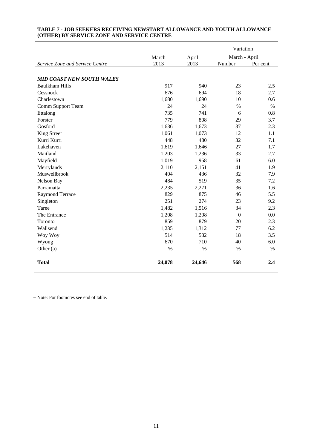|                                  |        |        | Variation        |          |  |
|----------------------------------|--------|--------|------------------|----------|--|
|                                  | March  | April  | March - April    |          |  |
| Service Zone and Service Centre  | 2013   | 2013   | Number           | Per cent |  |
|                                  |        |        |                  |          |  |
| <b>MID COAST NEW SOUTH WALES</b> |        |        |                  |          |  |
| <b>Baulkham Hills</b>            | 917    | 940    | 23               | 2.5      |  |
| Cessnock                         | 676    | 694    | 18               | 2.7      |  |
| Charlestown                      | 1,680  | 1,690  | 10               | 0.6      |  |
| Comm Support Team                | 24     | 24     | $\%$             | $\%$     |  |
| Ettalong                         | 735    | 741    | 6                | 0.8      |  |
| Forster                          | 779    | 808    | 29               | 3.7      |  |
| Gosford                          | 1,636  | 1,673  | 37               | 2.3      |  |
| King Street                      | 1,061  | 1,073  | 12               | 1.1      |  |
| Kurri Kurri                      | 448    | 480    | 32               | 7.1      |  |
| Lakehaven                        | 1,619  | 1,646  | 27               | 1.7      |  |
| Maitland                         | 1,203  | 1,236  | 33               | 2.7      |  |
| Mayfield                         | 1,019  | 958    | $-61$            | $-6.0$   |  |
| Merrylands                       | 2,110  | 2,151  | 41               | 1.9      |  |
| Muswellbrook                     | 404    | 436    | 32               | 7.9      |  |
| Nelson Bay                       | 484    | 519    | 35               | 7.2      |  |
| Parramatta                       | 2,235  | 2,271  | 36               | 1.6      |  |
| Raymond Terrace                  | 829    | 875    | 46               | 5.5      |  |
| Singleton                        | 251    | 274    | 23               | 9.2      |  |
| Taree                            | 1,482  | 1,516  | 34               | 2.3      |  |
| The Entrance                     | 1,208  | 1,208  | $\boldsymbol{0}$ | 0.0      |  |
| Toronto                          | 859    | 879    | 20               | 2.3      |  |
| Wallsend                         | 1,235  | 1,312  | 77               | 6.2      |  |
| Woy Woy                          | 514    | 532    | 18               | 3.5      |  |
| Wyong                            | 670    | 710    | 40               | 6.0      |  |
| Other (a)                        | $\%$   | $\%$   | $\%$             | $\%$     |  |
| <b>Total</b>                     | 24,078 | 24,646 | 568              | 2.4      |  |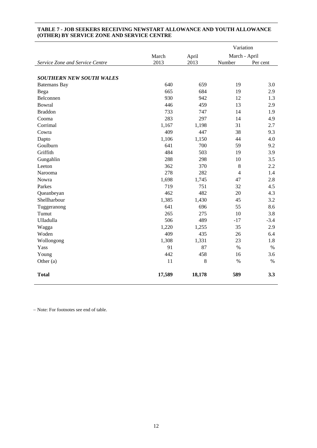|                                 |        |             | Variation      |          |  |
|---------------------------------|--------|-------------|----------------|----------|--|
|                                 | March  | April       | March - April  |          |  |
| Service Zone and Service Centre | 2013   | 2013        | Number         | Per cent |  |
|                                 |        |             |                |          |  |
| <b>SOUTHERN NEW SOUTH WALES</b> |        |             |                |          |  |
| <b>Batemans</b> Bay             | 640    | 659         | 19             | 3.0      |  |
| Bega                            | 665    | 684         | 19             | 2.9      |  |
| Belconnen                       | 930    | 942         | 12             | 1.3      |  |
| Bowral                          | 446    | 459         | 13             | 2.9      |  |
| <b>Braddon</b>                  | 733    | 747         | 14             | 1.9      |  |
| Cooma                           | 283    | 297         | 14             | 4.9      |  |
| Corrimal                        | 1,167  | 1,198       | 31             | 2.7      |  |
| Cowra                           | 409    | 447         | 38             | 9.3      |  |
| Dapto                           | 1,106  | 1,150       | 44             | 4.0      |  |
| Goulburn                        | 641    | 700         | 59             | 9.2      |  |
| Griffith                        | 484    | 503         | 19             | 3.9      |  |
| Gungahlin                       | 288    | 298         | 10             | 3.5      |  |
| Leeton                          | 362    | 370         | $\,8\,$        | 2.2      |  |
| Narooma                         | 278    | 282         | $\overline{4}$ | 1.4      |  |
| Nowra                           | 1,698  | 1,745       | 47             | 2.8      |  |
| Parkes                          | 719    | 751         | 32             | 4.5      |  |
| Queanbeyan                      | 462    | 482         | 20             | 4.3      |  |
| Shellharbour                    | 1,385  | 1,430       | 45             | 3.2      |  |
| Tuggeranong                     | 641    | 696         | 55             | 8.6      |  |
| Tumut                           | 265    | 275         | 10             | 3.8      |  |
| Ulladulla                       | 506    | 489         | $-17$          | $-3.4$   |  |
| Wagga                           | 1,220  | 1,255       | 35             | 2.9      |  |
| Woden                           | 409    | 435         | 26             | 6.4      |  |
| Wollongong                      | 1,308  | 1,331       | 23             | 1.8      |  |
| Yass                            | 91     | 87          | $\%$           | $\%$     |  |
| Young                           | 442    | 458         | 16             | 3.6      |  |
| Other (a)                       | 11     | $\,$ 8 $\,$ | $\%$           | $\%$     |  |
| <b>Total</b>                    | 17,589 | 18,178      | 589            | 3.3      |  |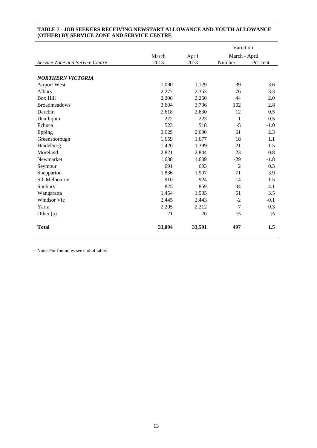|                                 |        |        | Variation      |          |  |
|---------------------------------|--------|--------|----------------|----------|--|
|                                 | March  | April  | March - April  |          |  |
| Service Zone and Service Centre | 2013   | 2013   | Number         | Per cent |  |
|                                 |        |        |                |          |  |
| <b>NORTHERN VICTORIA</b>        |        |        |                |          |  |
| <b>Airport West</b>             | 1,090  | 1,129  | 39             | 3.6      |  |
| Albury                          | 2,277  | 2,353  | 76             | 3.3      |  |
| <b>Box Hill</b>                 | 2,206  | 2,250  | 44             | 2.0      |  |
| <b>Broadmeadows</b>             | 3,604  | 3,706  | 102            | 2.8      |  |
| Darebin                         | 2,618  | 2,630  | 12             | 0.5      |  |
| Deniliquin                      | 222    | 223    | $\mathbf{1}$   | 0.5      |  |
| Echuca                          | 523    | 518    | $-5$           | $-1.0$   |  |
| Epping                          | 2,629  | 2,690  | 61             | 2.3      |  |
| Greensborough                   | 1,659  | 1,677  | 18             | 1.1      |  |
| Heidelberg                      | 1,420  | 1,399  | $-21$          | $-1.5$   |  |
| Moreland                        | 2,821  | 2,844  | 23             | 0.8      |  |
| Newmarket                       | 1,638  | 1,609  | $-29$          | $-1.8$   |  |
| Seymour                         | 691    | 693    | $\overline{2}$ | 0.3      |  |
| Shepparton                      | 1,836  | 1,907  | 71             | 3.9      |  |
| Sth Melbourne                   | 910    | 924    | 14             | 1.5      |  |
| Sunbury                         | 825    | 859    | 34             | 4.1      |  |
| Wangaratta                      | 1,454  | 1,505  | 51             | 3.5      |  |
| Windsor Vic                     | 2,445  | 2,443  | $-2$           | $-0.1$   |  |
| Yarra                           | 2,205  | 2,212  | 7              | 0.3      |  |
| Other $(a)$                     | 21     | 20     | %              | $\%$     |  |
| <b>Total</b>                    | 33,094 | 33,591 | 497            | 1.5      |  |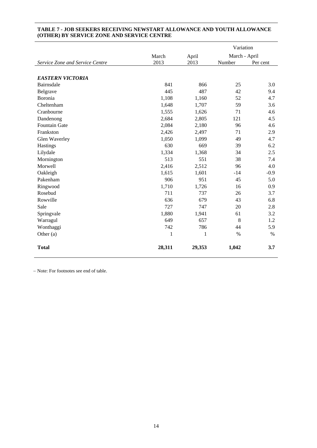|                                 |              |        | Variation     |          |
|---------------------------------|--------------|--------|---------------|----------|
|                                 | March        | April  | March - April |          |
| Service Zone and Service Centre | 2013         | 2013   | Number        | Per cent |
|                                 |              |        |               |          |
| <b>EASTERN VICTORIA</b>         |              |        |               |          |
| Bairnsdale                      | 841          | 866    | 25            | 3.0      |
| Belgrave                        | 445          | 487    | 42            | 9.4      |
| Boronia                         | 1,108        | 1,160  | 52            | 4.7      |
| Cheltenham                      | 1,648        | 1,707  | 59            | 3.6      |
| Cranbourne                      | 1,555        | 1,626  | 71            | 4.6      |
| Dandenong                       | 2,684        | 2,805  | 121           | 4.5      |
| Fountain Gate                   | 2,084        | 2,180  | 96            | 4.6      |
| Frankston                       | 2,426        | 2,497  | 71            | 2.9      |
| Glen Waverley                   | 1,050        | 1,099  | 49            | 4.7      |
| Hastings                        | 630          | 669    | 39            | 6.2      |
| Lilydale                        | 1,334        | 1,368  | 34            | 2.5      |
| Mornington                      | 513          | 551    | 38            | 7.4      |
| Morwell                         | 2,416        | 2,512  | 96            | 4.0      |
| Oakleigh                        | 1,615        | 1,601  | $-14$         | $-0.9$   |
| Pakenham                        | 906          | 951    | 45            | 5.0      |
| Ringwood                        | 1,710        | 1,726  | 16            | 0.9      |
| Rosebud                         | 711          | 737    | 26            | 3.7      |
| Rowville                        | 636          | 679    | 43            | 6.8      |
| Sale                            | 727          | 747    | 20            | 2.8      |
| Springvale                      | 1,880        | 1,941  | 61            | 3.2      |
| Warragul                        | 649          | 657    | 8             | 1.2      |
| Wonthaggi                       | 742          | 786    | 44            | 5.9      |
| Other (a)                       | $\mathbf{1}$ | 1      | %             | $\%$     |
| <b>Total</b>                    | 28,311       | 29,353 | 1,042         | 3.7      |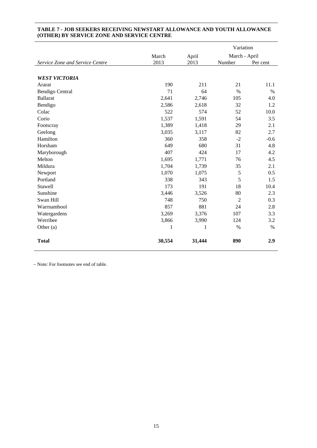|                                 |              |        | Variation      |          |
|---------------------------------|--------------|--------|----------------|----------|
|                                 | March        | April  | March - April  |          |
| Service Zone and Service Centre | 2013         | 2013   | Number         | Per cent |
|                                 |              |        |                |          |
| <b>WEST VICTORIA</b>            |              |        |                |          |
| Ararat                          | 190          | 211    | 21             | 11.1     |
| <b>Bendigo Central</b>          | 71           | 64     | $\%$           | $\%$     |
| <b>Ballarat</b>                 | 2,641        | 2,746  | 105            | 4.0      |
| Bendigo                         | 2,586        | 2,618  | 32             | 1.2      |
| Colac                           | 522          | 574    | 52             | 10.0     |
| Corio                           | 1,537        | 1,591  | 54             | 3.5      |
| Footscray                       | 1,389        | 1,418  | 29             | 2.1      |
| Geelong                         | 3,035        | 3,117  | 82             | 2.7      |
| Hamilton                        | 360          | 358    | $-2$           | $-0.6$   |
| Horsham                         | 649          | 680    | 31             | 4.8      |
| Maryborough                     | 407          | 424    | 17             | 4.2      |
| Melton                          | 1,695        | 1,771  | 76             | 4.5      |
| Mildura                         | 1,704        | 1,739  | 35             | 2.1      |
| Newport                         | 1,070        | 1,075  | 5              | 0.5      |
| Portland                        | 338          | 343    | 5              | 1.5      |
| Stawell                         | 173          | 191    | 18             | 10.4     |
| Sunshine                        | 3,446        | 3,526  | 80             | 2.3      |
| Swan Hill                       | 748          | 750    | $\overline{2}$ | 0.3      |
| Warrnambool                     | 857          | 881    | 24             | 2.8      |
| Watergardens                    | 3,269        | 3,376  | 107            | 3.3      |
| Werribee                        | 3,866        | 3,990  | 124            | 3.2      |
| Other $(a)$                     | $\mathbf{1}$ | 1      | $\%$           | $\%$     |
| <b>Total</b>                    | 30,554       | 31,444 | 890            | 2.9      |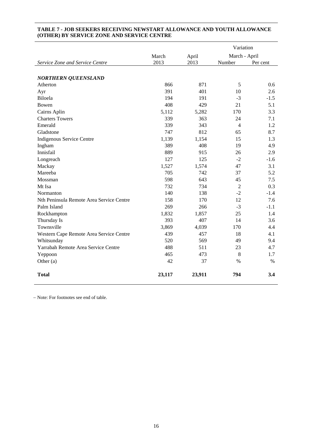|                                          |        |        | Variation      |          |
|------------------------------------------|--------|--------|----------------|----------|
|                                          | March  | April  | March - April  |          |
| Service Zone and Service Centre          | 2013   | 2013   | Number         | Per cent |
|                                          |        |        |                |          |
| <b>NORTHERN QUEENSLAND</b>               |        |        |                |          |
| Atherton                                 | 866    | 871    | 5              | 0.6      |
| Ayr                                      | 391    | 401    | 10             | 2.6      |
| Biloela                                  | 194    | 191    | $-3$           | $-1.5$   |
| Bowen                                    | 408    | 429    | 21             | 5.1      |
| Cairns Aplin                             | 5,112  | 5,282  | 170            | 3.3      |
| <b>Charters Towers</b>                   | 339    | 363    | 24             | 7.1      |
| Emerald                                  | 339    | 343    | $\overline{4}$ | 1.2      |
| Gladstone                                | 747    | 812    | 65             | 8.7      |
| Indigenous Service Centre                | 1,139  | 1,154  | 15             | 1.3      |
| Ingham                                   | 389    | 408    | 19             | 4.9      |
| Innisfail                                | 889    | 915    | 26             | 2.9      |
| Longreach                                | 127    | 125    | $-2$           | $-1.6$   |
| Mackay                                   | 1,527  | 1,574  | 47             | 3.1      |
| Mareeba                                  | 705    | 742    | 37             | 5.2      |
| Mossman                                  | 598    | 643    | 45             | 7.5      |
| Mt Isa                                   | 732    | 734    | $\overline{2}$ | 0.3      |
| Normanton                                | 140    | 138    | $-2$           | $-1.4$   |
| Nth Peninsula Remote Area Service Centre | 158    | 170    | 12             | 7.6      |
| Palm Island                              | 269    | 266    | $-3$           | $-1.1$   |
| Rockhampton                              | 1,832  | 1,857  | 25             | 1.4      |
| Thursday Is                              | 393    | 407    | 14             | 3.6      |
| Townsville                               | 3,869  | 4,039  | 170            | 4.4      |
| Western Cape Remote Area Service Centre  | 439    | 457    | 18             | 4.1      |
| Whitsunday                               | 520    | 569    | 49             | 9.4      |
| Yarrabah Remote Area Service Centre      | 488    | 511    | 23             | 4.7      |
| Yeppoon                                  | 465    | 473    | 8              | 1.7      |
| Other (a)                                | 42     | 37     | $\%$           | $\%$     |
| <b>Total</b>                             | 23,117 | 23,911 | 794            | 3.4      |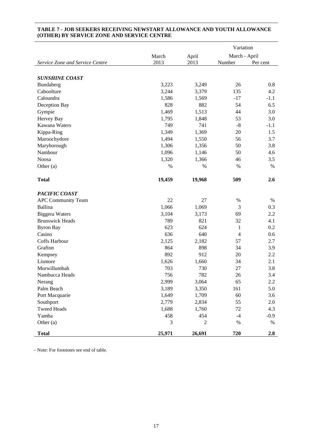|                                 |               |              | Variation      |          |
|---------------------------------|---------------|--------------|----------------|----------|
|                                 | March         | April        | March - April  |          |
| Service Zone and Service Centre | 2013          | 2013         | Number         | Per cent |
|                                 |               |              |                |          |
| <b>SUNSHINE COAST</b>           |               |              |                |          |
| Bundaberg                       | 3,223         | 3,249        | 26             | 0.8      |
| Caboolture                      | 3,244         | 3,379        | 135            | 4.2      |
| Caloundra                       | 1,586         | 1,569        | $-17$          | $-1.1$   |
| Deception Bay                   | 828           | 882          | 54             | 6.5      |
| Gympie                          | 1,469         | 1,513        | 44             | 3.0      |
| Hervey Bay                      | 1,795         | 1,848        | 53             | 3.0      |
| Kawana Waters                   | 749           | 741          | $-8$           | $-1.1$   |
| Kippa-Ring                      | 1,349         | 1,369        | 20             | 1.5      |
| Maroochydore                    | 1,494         | 1,550        | 56             | 3.7      |
| Maryborough                     | 1,306         | 1,356        | 50             | 3.8      |
| Nambour                         | 1,096         | 1,146        | 50             | 4.6      |
| <b>Noosa</b>                    | 1,320         | 1,366        | 46             | 3.5      |
| Other (a)                       | $\%$          | $\%$         | %              | %        |
|                                 |               |              |                |          |
| <b>Total</b>                    | 19,459        | 19,968       | 509            | 2.6      |
|                                 |               |              |                |          |
| PACIFIC COAST                   |               |              |                |          |
| <b>APC Community Team</b>       | 22            | 27           | $\%$           | %        |
| Ballina                         | 1,066         | 1,069        | 3              | 0.3      |
| <b>Biggera Waters</b>           | 3,104         | 3,173        | 69             | 2.2      |
| <b>Brunswick Heads</b>          | 789           | 821          | 32             | 4.1      |
| <b>Byron Bay</b>                | 623           | 624          | 1              | 0.2      |
| Casino                          | 636           | 640          | $\overline{4}$ | 0.6      |
| Coffs Harbour                   | 2,125         | 2,182        | 57             | 2.7      |
| Grafton                         | 864           | 898          | 34             | 3.9      |
| Kempsey                         | 892           | 912          | 20             | 2.2      |
| Lismore                         | 1,626         | 1,660        | 34             | 2.1      |
| Murwillumbah                    | 703           | 730          | 27             | 3.8      |
| Nambucca Heads                  | 756           | 782          | 26             | 3.4      |
| Nerang                          | 2,999         | 3,064        | 65             | 2.2      |
| Palm Beach                      | 3,189         | 3,350        | 161            | 5.0      |
| Port Macquarie                  | 1,649         | 1,709        | 60             | 3.6      |
| Southport                       | 2,779         | 2,834        | 55             | 2.0      |
| <b>Tweed Heads</b>              | 1,688         | 1,760        | 72             | 4.3      |
| Yamba                           | 458           | 454          | $-4$           | $-0.9$   |
| Other $(a)$                     | $\mathfrak 3$ | $\mathbf{2}$ | $\%$           | $\%$     |
| <b>Total</b>                    | 25,971        | 26,691       | 720            | 2.8      |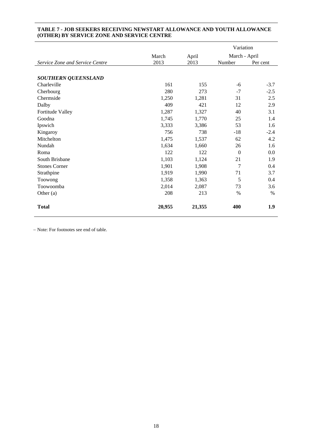|                                 |        |        | Variation      |          |
|---------------------------------|--------|--------|----------------|----------|
|                                 | March  | April  | March - April  |          |
| Service Zone and Service Centre | 2013   | 2013   | Number         | Per cent |
|                                 |        |        |                |          |
| <b>SOUTHERN QUEENSLAND</b>      |        |        |                |          |
| Charleville                     | 161    | 155    | -6             | $-3.7$   |
| Cherbourg                       | 280    | 273    | $-7$           | $-2.5$   |
| Chermside                       | 1,250  | 1,281  | 31             | 2.5      |
| Dalby                           | 409    | 421    | 12             | 2.9      |
| Fortitude Valley                | 1,287  | 1,327  | 40             | 3.1      |
| Goodna                          | 1,745  | 1,770  | 25             | 1.4      |
| Ipswich                         | 3,333  | 3,386  | 53             | 1.6      |
| Kingaroy                        | 756    | 738    | $-18$          | $-2.4$   |
| Mitchelton                      | 1,475  | 1,537  | 62             | 4.2      |
| Nundah                          | 1,634  | 1,660  | 26             | 1.6      |
| Roma                            | 122    | 122    | $\overline{0}$ | 0.0      |
| South Brisbane                  | 1,103  | 1,124  | 21             | 1.9      |
| <b>Stones Corner</b>            | 1,901  | 1,908  | 7              | 0.4      |
| Strathpine                      | 1,919  | 1,990  | 71             | 3.7      |
| Toowong                         | 1,358  | 1,363  | 5              | 0.4      |
| Toowoomba                       | 2,014  | 2,087  | 73             | 3.6      |
| Other $(a)$                     | 208    | 213    | %              | $\%$     |
| <b>Total</b>                    | 20,955 | 21,355 | 400            | 1.9      |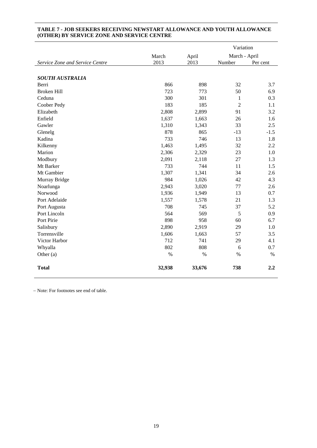|                                 |        |        | Variation      |          |
|---------------------------------|--------|--------|----------------|----------|
|                                 | March  | April  | March - April  |          |
| Service Zone and Service Centre | 2013   | 2013   | Number         | Per cent |
|                                 |        |        |                |          |
| <b>SOUTH AUSTRALIA</b>          |        |        |                |          |
| Berri                           | 866    | 898    | 32             | 3.7      |
| <b>Broken Hill</b>              | 723    | 773    | 50             | 6.9      |
| Ceduna                          | 300    | 301    | $\mathbf{1}$   | 0.3      |
| Coober Pedy                     | 183    | 185    | $\overline{2}$ | 1.1      |
| Elizabeth                       | 2,808  | 2,899  | 91             | 3.2      |
| Enfield                         | 1,637  | 1,663  | 26             | 1.6      |
| Gawler                          | 1,310  | 1,343  | 33             | 2.5      |
| Glenelg                         | 878    | 865    | $-13$          | $-1.5$   |
| Kadina                          | 733    | 746    | 13             | 1.8      |
| Kilkenny                        | 1,463  | 1,495  | 32             | 2.2      |
| Marion                          | 2,306  | 2,329  | 23             | 1.0      |
| Modbury                         | 2,091  | 2,118  | 27             | 1.3      |
| Mt Barker                       | 733    | 744    | 11             | 1.5      |
| Mt Gambier                      | 1,307  | 1,341  | 34             | 2.6      |
| Murray Bridge                   | 984    | 1,026  | 42             | 4.3      |
| Noarlunga                       | 2,943  | 3,020  | 77             | 2.6      |
| Norwood                         | 1,936  | 1,949  | 13             | 0.7      |
| Port Adelaide                   | 1,557  | 1,578  | 21             | 1.3      |
| Port Augusta                    | 708    | 745    | 37             | 5.2      |
| Port Lincoln                    | 564    | 569    | 5              | 0.9      |
| Port Pirie                      | 898    | 958    | 60             | 6.7      |
| Salisbury                       | 2,890  | 2,919  | 29             | 1.0      |
| Torrensville                    | 1,606  | 1,663  | 57             | 3.5      |
| Victor Harbor                   | 712    | 741    | 29             | 4.1      |
| Whyalla                         | 802    | 808    | 6              | 0.7      |
| Other (a)                       | $\%$   | $\%$   | $\%$           | $\%$     |
| <b>Total</b>                    | 32,938 | 33,676 | 738            | 2.2      |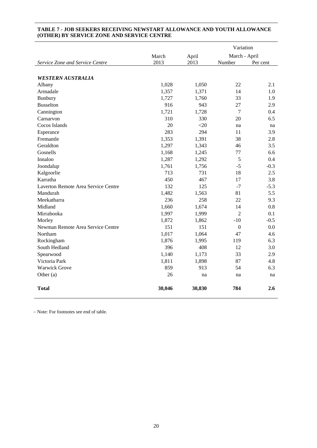|                                     |        |        | Variation        |          |
|-------------------------------------|--------|--------|------------------|----------|
|                                     | March  | April  | March - April    |          |
| Service Zone and Service Centre     | 2013   | 2013   | Number           | Per cent |
|                                     |        |        |                  |          |
| <b>WESTERN AUSTRALIA</b>            |        |        |                  |          |
| Albany                              | 1,028  | 1,050  | 22               | 2.1      |
| Armadale                            | 1,357  | 1,371  | 14               | 1.0      |
| Bunbury                             | 1,727  | 1,760  | 33               | 1.9      |
| <b>Busselton</b>                    | 916    | 943    | 27               | 2.9      |
| Cannington                          | 1,721  | 1,728  | $\overline{7}$   | 0.4      |
| Carnarvon                           | 310    | 330    | 20               | 6.5      |
| Cocos Islands                       | 20     | $<$ 20 | na               | na       |
| Esperance                           | 283    | 294    | 11               | 3.9      |
| Fremantle                           | 1,353  | 1,391  | 38               | 2.8      |
| Geraldton                           | 1,297  | 1,343  | 46               | 3.5      |
| Gosnells                            | 1,168  | 1,245  | 77               | 6.6      |
| Innaloo                             | 1,287  | 1,292  | 5                | 0.4      |
| Joondalup                           | 1,761  | 1,756  | $-5$             | $-0.3$   |
| Kalgoorlie                          | 713    | 731    | 18               | 2.5      |
| Karratha                            | 450    | 467    | 17               | 3.8      |
| Laverton Remote Area Service Centre | 132    | 125    | $-7$             | $-5.3$   |
| Mandurah                            | 1,482  | 1,563  | 81               | 5.5      |
| Meekatharra                         | 236    | 258    | 22               | 9.3      |
| Midland                             | 1,660  | 1,674  | 14               | 0.8      |
| Mirrabooka                          | 1,997  | 1,999  | $\overline{2}$   | 0.1      |
| Morley                              | 1,872  | 1,862  | $-10$            | $-0.5$   |
| Newman Remote Area Service Centre   | 151    | 151    | $\boldsymbol{0}$ | 0.0      |
| Northam                             | 1,017  | 1,064  | 47               | 4.6      |
| Rockingham                          | 1,876  | 1,995  | 119              | 6.3      |
| South Hedland                       | 396    | 408    | 12               | 3.0      |
| Spearwood                           | 1,140  | 1,173  | 33               | 2.9      |
| Victoria Park                       | 1,811  | 1,898  | 87               | 4.8      |
| <b>Warwick Grove</b>                | 859    | 913    | 54               | 6.3      |
| Other $(a)$                         | 26     | na     | na               | na       |
| <b>Total</b>                        | 30,046 | 30,830 | 784              | 2.6      |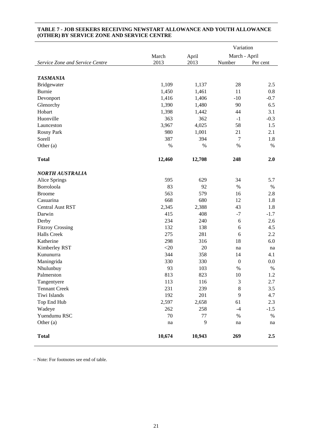|                                 |        |        | Variation        |          |
|---------------------------------|--------|--------|------------------|----------|
|                                 | March  | April  | March - April    |          |
| Service Zone and Service Centre | 2013   | 2013   | Number           | Per cent |
|                                 |        |        |                  |          |
| <b>TASMANIA</b>                 |        |        |                  |          |
| Bridgewater                     | 1,109  | 1,137  | 28               | 2.5      |
| Burnie                          | 1,450  | 1,461  | 11               | 0.8      |
| Devonport                       | 1,416  | 1,406  | $-10$            | $-0.7$   |
| Glenorchy                       | 1,390  | 1,480  | 90               | 6.5      |
| Hobart                          | 1,398  | 1,442  | 44               | 3.1      |
| Huonville                       | 363    | 362    | $-1$             | $-0.3$   |
| Launceston                      | 3,967  | 4,025  | 58               | 1.5      |
| Rosny Park                      | 980    | 1,001  | 21               | 2.1      |
| Sorell                          | 387    | 394    | 7                | 1.8      |
| Other $(a)$                     | $\%$   | $\%$   | %                | $\%$     |
| <b>Total</b>                    | 12,460 | 12,708 | 248              | 2.0      |
|                                 |        |        |                  |          |
| <b>NORTH AUSTRALIA</b>          |        |        |                  |          |
| Alice Springs                   | 595    | 629    | 34               | 5.7      |
| Borroloola                      | 83     | 92     | $\%$             | $\%$     |
| <b>Broome</b>                   | 563    | 579    | 16               | 2.8      |
| Casuarina                       | 668    | 680    | 12               | 1.8      |
| <b>Central Aust RST</b>         | 2,345  | 2,388  | 43               | 1.8      |
| Darwin                          | 415    | 408    | $-7$             | $-1.7$   |
| Derby                           | 234    | 240    | 6                | 2.6      |
| <b>Fitzroy Crossing</b>         | 132    | 138    | 6                | 4.5      |
| <b>Halls Creek</b>              | 275    | 281    | 6                | 2.2      |
| Katherine                       | 298    | 316    | 18               | 6.0      |
| Kimberley RST                   | $<$ 20 | 20     | na               | na       |
| Kununurra                       | 344    | 358    | 14               | 4.1      |
| Maningrida                      | 330    | 330    | $\boldsymbol{0}$ | 0.0      |
| Nhulunbuy                       | 93     | 103    | %                | %        |
| Palmerston                      | 813    | 823    | 10               | 1.2      |
| Tangentyere                     | 113    | 116    | 3                | 2.7      |
| <b>Tennant Creek</b>            | 231    | 239    | 8                | 3.5      |
| Tiwi Islands                    | 192    | 201    | 9                | 4.7      |
| Top End Hub                     | 2,597  | 2,658  | 61               | 2.3      |
| Wadeye                          | 262    | 258    | $-4$             | $-1.5$   |
| Yuendumu RSC                    | 70     | 77     | $\%$             | $\%$     |
| Other (a)                       | na     | 9      | na               | na       |
| <b>Total</b>                    | 10,674 | 10,943 | 269              | 2.5      |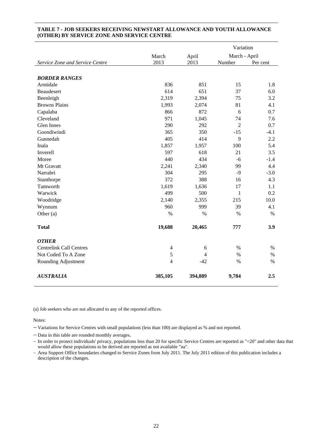|                                 |                | Variation      |                |          |
|---------------------------------|----------------|----------------|----------------|----------|
|                                 | March          | April          | March - April  |          |
| Service Zone and Service Centre | 2013           | 2013           | Number         | Per cent |
|                                 |                |                |                |          |
| <b>BORDER RANGES</b>            |                |                |                |          |
| Armidale                        | 836            | 851            | 15             | 1.8      |
| Beaudesert                      | 614            | 651            | 37             | 6.0      |
| Beenleigh                       | 2,319          | 2,394          | 75             | 3.2      |
| <b>Browns Plains</b>            | 1,993          | 2,074          | 81             | 4.1      |
| Capalaba                        | 866            | 872            | 6              | 0.7      |
| Cleveland                       | 971            | 1,045          | 74             | 7.6      |
| Glen Innes                      | 290            | 292            | $\overline{2}$ | 0.7      |
| Goondiwindi                     | 365            | 350            | $-15$          | $-4.1$   |
| Gunnedah                        | 405            | 414            | 9              | 2.2      |
| Inala                           | 1,857          | 1,957          | 100            | 5.4      |
| Inverell                        | 597            | 618            | 21             | 3.5      |
| Moree                           | 440            | 434            | $-6$           | $-1.4$   |
| Mt Gravatt                      | 2,241          | 2,340          | 99             | 4.4      |
| Narrabri                        | 304            | 295            | $-9$           | $-3.0$   |
| Stanthorpe                      | 372            | 388            | 16             | 4.3      |
| Tamworth                        | 1,619          | 1,636          | 17             | 1.1      |
| Warwick                         | 499            | 500            | 1              | 0.2      |
| Woodridge                       | 2,140          | 2,355          | 215            | 10.0     |
| Wynnum                          | 960            | 999            | 39             | 4.1      |
| Other (a)                       | $\%$           | %              | %              | $\%$     |
| <b>Total</b>                    | 19,688         | 20,465         | 777            | 3.9      |
| <b>OTHER</b>                    |                |                |                |          |
| <b>Centrelink Call Centres</b>  | 4              | 6              | $\%$           | $\%$     |
| Not Coded To A Zone             | 5              | $\overline{4}$ | $\%$           | $\%$     |
| Rounding Adjustment             | $\overline{4}$ | $-42$          | $\%$           | $\%$     |
| <b>AUSTRALIA</b>                | 385,105        | 394,889        | 9,784          | 2.5      |

(a) Job seekers who are not allocated to any of the reported offices.

Notes:

Variations for Service Centres with small populations (less than 100) are displayed as % and not reported.

- Data in this table are rounded monthly averages.

- In order to protect individuals' privacy, populations less than 20 for specific Service Centres are reported as "<20" and other data that would allow these populations to be derived are reported as not available "na".

- Area Support Office boundaries changed to Service Zones from July 2011. The July 2011 edition of this publication includes a description of the changes.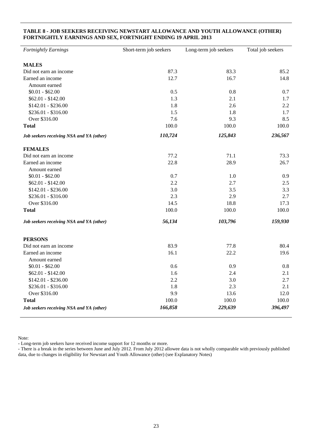#### **TABLE 8 - JOB SEEKERS RECEIVING NEWSTART ALLOWANCE AND YOUTH ALLOWANCE (OTHER) FORTNIGHTLY EARNINGS AND SEX, FORTNIGHT ENDING 19 APRIL 2013**

| Fortnightly Earnings                     | Short-term job seekers | Long-term job seekers | Total job seekers |
|------------------------------------------|------------------------|-----------------------|-------------------|
| <b>MALES</b>                             |                        |                       |                   |
| Did not earn an income                   | 87.3                   | 83.3                  | 85.2              |
| Earned an income                         | 12.7                   | 16.7                  | 14.8              |
| Amount earned                            |                        |                       |                   |
| $$0.01 - $62.00$                         | 0.5                    | 0.8                   | 0.7               |
| $$62.01 - $142.00$                       | 1.3                    | 2.1                   | 1.7               |
| $$142.01 - $236.00$                      | 1.8                    | 2.6                   | 2.2               |
| $$236.01 - $316.00$                      | 1.5                    | 1.8                   | 1.7               |
| Over \$316.00                            | 7.6                    | 9.3                   | 8.5               |
| <b>Total</b>                             | 100.0                  | 100.0                 | 100.0             |
| Job seekers receiving NSA and YA (other) | 110,724                | 125,843               | 236,567           |
| <b>FEMALES</b>                           |                        |                       |                   |
| Did not earn an income                   | 77.2                   | 71.1                  | 73.3              |
| Earned an income                         | 22.8                   | 28.9                  | 26.7              |
| Amount earned                            |                        |                       |                   |
| $$0.01 - $62.00$                         | 0.7                    | 1.0                   | 0.9               |
| $$62.01 - $142.00$                       | 2.2                    | 2.7                   | 2.5               |
| $$142.01 - $236.00$                      | 3.0                    | 3.5                   | 3.3               |
| \$236.01 - \$316.00                      | 2.3                    | 2.9                   | 2.7               |
| Over \$316.00                            | 14.5                   | 18.8                  | 17.3              |
| <b>Total</b>                             | 100.0                  | 100.0                 | 100.0             |
| Job seekers receiving NSA and YA (other) | 56,134                 | 103,796               | 159,930           |
| <b>PERSONS</b>                           |                        |                       |                   |
| Did not earn an income                   | 83.9                   | 77.8                  | 80.4              |
| Earned an income                         | 16.1                   | 22.2                  | 19.6              |
| Amount earned                            |                        |                       |                   |
| $$0.01 - $62.00$                         | 0.6                    | 0.9                   | 0.8               |
| $$62.01 - $142.00$                       | 1.6                    | 2.4                   | 2.1               |
| $$142.01 - $236.00$                      | 2.2                    | 3.0                   | 2.7               |
| \$236.01 - \$316.00                      | 1.8                    | 2.3                   | 2.1               |
| Over \$316.00                            | 9.9                    | 13.6                  | 12.0              |
| <b>Total</b>                             | 100.0                  | 100.0                 | 100.0             |
| Job seekers receiving NSA and YA (other) | 166,858                | 229,639               | 396,497           |

Note:

- Long-term job seekers have received income support for 12 months or more.

- There is a break in the series between June and July 2012. From July 2012 allowee data is not wholly comparable with previously published data, due to changes in eligibility for Newstart and Youth Allowance (other) (see Explanatory Notes)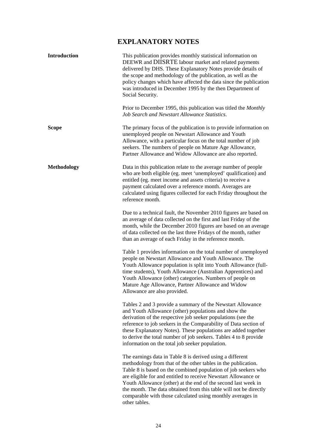## **EXPLANATORY NOTES**

| Introduction       | This publication provides monthly statistical information on<br>DEEWR and DIISRTE labour market and related payments<br>delivered by DHS. These Explanatory Notes provide details of<br>the scope and methodology of the publication, as well as the<br>policy changes which have affected the data since the publication<br>was introduced in December 1995 by the then Department of<br>Social Security.                                                                          |
|--------------------|-------------------------------------------------------------------------------------------------------------------------------------------------------------------------------------------------------------------------------------------------------------------------------------------------------------------------------------------------------------------------------------------------------------------------------------------------------------------------------------|
|                    | Prior to December 1995, this publication was titled the Monthly<br>Job Search and Newstart Allowance Statistics.                                                                                                                                                                                                                                                                                                                                                                    |
| <b>Scope</b>       | The primary focus of the publication is to provide information on<br>unemployed people on Newstart Allowance and Youth<br>Allowance, with a particular focus on the total number of job<br>seekers. The numbers of people on Mature Age Allowance,<br>Partner Allowance and Widow Allowance are also reported.                                                                                                                                                                      |
| <b>Methodology</b> | Data in this publication relate to the average number of people<br>who are both eligible (eg. meet 'unemployed' qualification) and<br>entitled (eg. meet income and assets criteria) to receive a<br>payment calculated over a reference month. Averages are<br>calculated using figures collected for each Friday throughout the<br>reference month.                                                                                                                               |
|                    | Due to a technical fault, the November 2010 figures are based on<br>an average of data collected on the first and last Friday of the<br>month, while the December 2010 figures are based on an average<br>of data collected on the last three Fridays of the month, rather<br>than an average of each Friday in the reference month.                                                                                                                                                |
|                    | Table 1 provides information on the total number of unemployed<br>people on Newstart Allowance and Youth Allowance. The<br>Youth Allowance population is split into Youth Allowance (full-<br>time students), Youth Allowance (Australian Apprentices) and<br>Youth Allowance (other) categories. Numbers of people on<br>Mature Age Allowance, Partner Allowance and Widow<br>Allowance are also provided.                                                                         |
|                    | Tables 2 and 3 provide a summary of the Newstart Allowance<br>and Youth Allowance (other) populations and show the<br>derivation of the respective job seeker populations (see the<br>reference to job seekers in the Comparability of Data section of<br>these Explanatory Notes). These populations are added together<br>to derive the total number of job seekers. Tables 4 to 8 provide<br>information on the total job seeker population.                                     |
|                    | The earnings data in Table 8 is derived using a different<br>methodology from that of the other tables in the publication.<br>Table 8 is based on the combined population of job seekers who<br>are eligible for and entitled to receive Newstart Allowance or<br>Youth Allowance (other) at the end of the second last week in<br>the month. The data obtained from this table will not be directly<br>comparable with those calculated using monthly averages in<br>other tables. |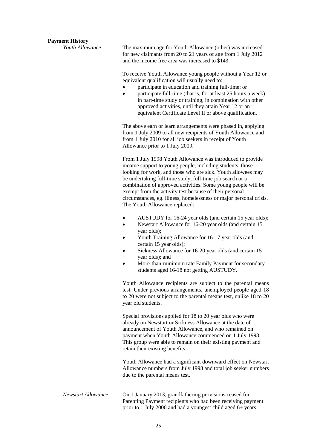#### **Payment History**

*Youth Allowance* The maximum age for Youth Allowance (other) was increased for new claimants from 20 to 21 years of age from 1 July 2012 and the income free area was increased to \$143.

> To receive Youth Allowance young people without a Year 12 or equivalent qualification will usually need to:

- participate in education and training full-time; or
- participate full-time (that is, for at least 25 hours a week) in part-time study or training, in combination with other approved activities, until they attain Year 12 or an equivalent Certificate Level II or above qualification.

The above earn or learn arrangements were phased in, applying from 1 July 2009 to all new recipients of Youth Allowance and from 1 July 2010 for all job seekers in receipt of Youth Allowance prior to 1 July 2009.

From 1 July 1998 Youth Allowance was introduced to provide income support to young people, including students, those looking for work, and those who are sick. Youth allowees may be undertaking full-time study, full-time job search or a combination of approved activities. Some young people will be exempt from the activity test because of their personal circumstances, eg. illness, homelessness or major personal crisis. The Youth Allowance replaced:

- AUSTUDY for 16-24 year olds (and certain 15 year olds);
- Newstart Allowance for 16-20 year olds (and certain 15 year olds);
- Youth Training Allowance for 16-17 year olds (and certain 15 year olds);
- Sickness Allowance for 16-20 year olds (and certain 15 year olds); and
- More-than-minimum rate Family Payment for secondary students aged 16-18 not getting AUSTUDY.

Youth Allowance recipients are subject to the parental means test. Under previous arrangements, unemployed people aged 18 to 20 were not subject to the parental means test, unlike 18 to 20 year old students.

Special provisions applied for 18 to 20 year olds who were already on Newstart or Sickness Allowance at the date of announcement of Youth Allowance, and who remained on payment when Youth Allowance commenced on 1 July 1998. This group were able to remain on their existing payment and retain their existing benefits.

Youth Allowance had a significant downward effect on Newstart Allowance numbers from July 1998 and total job seeker numbers due to the parental means test.

*Newstart Allowance* On 1 January 2013, grandfathering provisions ceased for Parenting Payment recipients who had been receiving payment prior to 1 July 2006 and had a youngest child aged 6+ years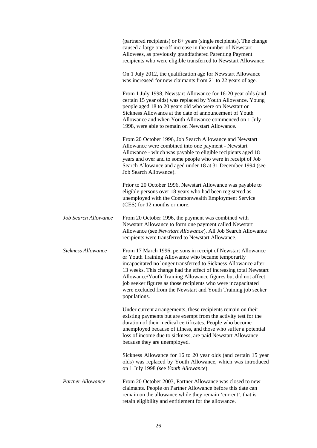|                             | (partnered recipients) or $8+$ years (single recipients). The change<br>caused a large one-off increase in the number of Newstart<br>Allowees, as previously grandfathered Parenting Payment<br>recipients who were eligible transferred to Newstart Allowance.                                                                                                                                                                                                               |
|-----------------------------|-------------------------------------------------------------------------------------------------------------------------------------------------------------------------------------------------------------------------------------------------------------------------------------------------------------------------------------------------------------------------------------------------------------------------------------------------------------------------------|
|                             | On 1 July 2012, the qualification age for Newstart Allowance<br>was increased for new claimants from 21 to 22 years of age.                                                                                                                                                                                                                                                                                                                                                   |
|                             | From 1 July 1998, Newstart Allowance for 16-20 year olds (and<br>certain 15 year olds) was replaced by Youth Allowance. Young<br>people aged 18 to 20 years old who were on Newstart or<br>Sickness Allowance at the date of announcement of Youth<br>Allowance and when Youth Allowance commenced on 1 July<br>1998, were able to remain on Newstart Allowance.                                                                                                              |
|                             | From 20 October 1996, Job Search Allowance and Newstart<br>Allowance were combined into one payment - Newstart<br>Allowance - which was payable to eligible recipients aged 18<br>years and over and to some people who were in receipt of Job<br>Search Allowance and aged under 18 at 31 December 1994 (see<br>Job Search Allowance).                                                                                                                                       |
|                             | Prior to 20 October 1996, Newstart Allowance was payable to<br>eligible persons over 18 years who had been registered as<br>unemployed with the Commonwealth Employment Service<br>(CES) for 12 months or more.                                                                                                                                                                                                                                                               |
| <b>Job Search Allowance</b> | From 20 October 1996, the payment was combined with<br>Newstart Allowance to form one payment called Newstart<br>Allowance (see Newstart Allowance). All Job Search Allowance<br>recipients were transferred to Newstart Allowance.                                                                                                                                                                                                                                           |
| Sickness Allowance          | From 17 March 1996, persons in receipt of Newstart Allowance<br>or Youth Training Allowance who became temporarily<br>incapacitated no longer transferred to Sickness Allowance after<br>13 weeks. This change had the effect of increasing total Newstart<br>Allowance/Youth Training Allowance figures but did not affect<br>job seeker figures as those recipients who were incapacitated<br>were excluded from the Newstart and Youth Training job seeker<br>populations. |
|                             | Under current arrangements, these recipients remain on their<br>existing payments but are exempt from the activity test for the<br>duration of their medical certificates. People who become<br>unemployed because of illness, and those who suffer a potential<br>loss of income due to sickness, are paid Newstart Allowance<br>because they are unemployed.                                                                                                                |
|                             | Sickness Allowance for 16 to 20 year olds (and certain 15 year<br>olds) was replaced by Youth Allowance, which was introduced<br>on 1 July 1998 (see Youth Allowance).                                                                                                                                                                                                                                                                                                        |
| <b>Partner Allowance</b>    | From 20 October 2003, Partner Allowance was closed to new<br>claimants. People on Partner Allowance before this date can<br>remain on the allowance while they remain 'current', that is<br>retain eligibility and entitlement for the allowance.                                                                                                                                                                                                                             |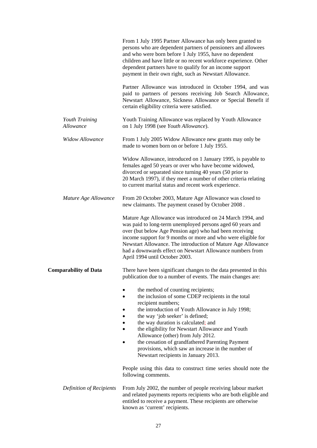|                              | From 1 July 1995 Partner Allowance has only been granted to<br>persons who are dependent partners of pensioners and allowees<br>and who were born before 1 July 1955, have no dependent<br>children and have little or no recent workforce experience. Other<br>dependent partners have to qualify for an income support<br>payment in their own right, such as Newstart Allowance.                                                                                                       |
|------------------------------|-------------------------------------------------------------------------------------------------------------------------------------------------------------------------------------------------------------------------------------------------------------------------------------------------------------------------------------------------------------------------------------------------------------------------------------------------------------------------------------------|
|                              | Partner Allowance was introduced in October 1994, and was<br>paid to partners of persons receiving Job Search Allowance,<br>Newstart Allowance, Sickness Allowance or Special Benefit if<br>certain eligibility criteria were satisfied.                                                                                                                                                                                                                                                  |
| Youth Training<br>Allowance  | Youth Training Allowance was replaced by Youth Allowance<br>on 1 July 1998 (see Youth Allowance).                                                                                                                                                                                                                                                                                                                                                                                         |
| <b>Widow Allowance</b>       | From 1 July 2005 Widow Allowance new grants may only be<br>made to women born on or before 1 July 1955.                                                                                                                                                                                                                                                                                                                                                                                   |
|                              | Widow Allowance, introduced on 1 January 1995, is payable to<br>females aged 50 years or over who have become widowed,<br>divorced or separated since turning 40 years (50 prior to<br>20 March 1997), if they meet a number of other criteria relating<br>to current marital status and recent work experience.                                                                                                                                                                          |
| Mature Age Allowance         | From 20 October 2003, Mature Age Allowance was closed to<br>new claimants. The payment ceased by October 2008.                                                                                                                                                                                                                                                                                                                                                                            |
|                              | Mature Age Allowance was introduced on 24 March 1994, and<br>was paid to long-term unemployed persons aged 60 years and<br>over (but below Age Pension age) who had been receiving<br>income support for 9 months or more and who were eligible for<br>Newstart Allowance. The introduction of Mature Age Allowance<br>had a downwards effect on Newstart Allowance numbers from<br>April 1994 until October 2003.                                                                        |
| <b>Comparability of Data</b> | There have been significant changes to the data presented in this<br>publication due to a number of events. The main changes are:                                                                                                                                                                                                                                                                                                                                                         |
|                              | the method of counting recipients;<br>the inclusion of some CDEP recipients in the total<br>recipient numbers;<br>the introduction of Youth Allowance in July 1998;<br>the way 'job seeker' is defined;<br>the way duration is calculated; and<br>the eligibility for Newstart Allowance and Youth<br>Allowance (other) from July 2012.<br>the cessation of grandfathered Parenting Payment<br>provisions, which saw an increase in the number of<br>Newstart recipients in January 2013. |
|                              | People using this data to construct time series should note the<br>following comments.                                                                                                                                                                                                                                                                                                                                                                                                    |
| Definition of Recipients     | From July 2002, the number of people receiving labour market<br>and related payments reports recipients who are both eligible and<br>entitled to receive a payment. These recipients are otherwise<br>known as 'current' recipients.                                                                                                                                                                                                                                                      |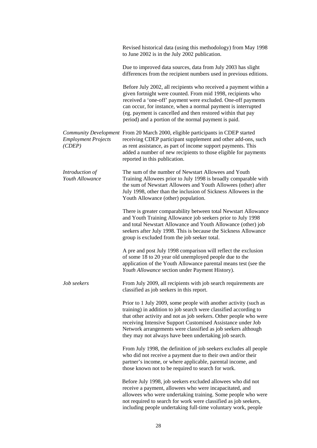|                                      | Revised historical data (using this methodology) from May 1998<br>to June 2002 is in the July 2002 publication.                                                                                                                                                                                                                                                                                   |
|--------------------------------------|---------------------------------------------------------------------------------------------------------------------------------------------------------------------------------------------------------------------------------------------------------------------------------------------------------------------------------------------------------------------------------------------------|
|                                      | Due to improved data sources, data from July 2003 has slight<br>differences from the recipient numbers used in previous editions.                                                                                                                                                                                                                                                                 |
|                                      | Before July 2002, all recipients who received a payment within a<br>given fortnight were counted. From mid 1998, recipients who<br>received a 'one-off' payment were excluded. One-off payments<br>can occur, for instance, when a normal payment is interrupted<br>(eg. payment is cancelled and then restored within that pay<br>period) and a portion of the normal payment is paid.           |
| <b>Employment Projects</b><br>(CDEF) | Community Development From 20 March 2000, eligible participants in CDEP started<br>receiving CDEP participant supplement and other add-ons, such<br>as rent assistance, as part of income support payments. This<br>added a number of new recipients to those eligible for payments<br>reported in this publication.                                                                              |
| Introduction of<br>Youth Allowance   | The sum of the number of Newstart Allowees and Youth<br>Training Allowees prior to July 1998 is broadly comparable with<br>the sum of Newstart Allowees and Youth Allowees (other) after<br>July 1998, other than the inclusion of Sickness Allowees in the<br>Youth Allowance (other) population.                                                                                                |
|                                      | There is greater comparability between total Newstart Allowance<br>and Youth Training Allowance job seekers prior to July 1998<br>and total Newstart Allowance and Youth Allowance (other) job<br>seekers after July 1998. This is because the Sickness Allowance<br>group is excluded from the job seeker total.                                                                                 |
|                                      | A pre and post July 1998 comparison will reflect the exclusion<br>of some 18 to 20 year old unemployed people due to the<br>application of the Youth Allowance parental means test (see the<br>Youth Allowance section under Payment History).                                                                                                                                                    |
| Job seekers                          | From July 2009, all recipients with job search requirements are<br>classified as job seekers in this report.                                                                                                                                                                                                                                                                                      |
|                                      | Prior to 1 July 2009, some people with another activity (such as<br>training) in addition to job search were classified according to<br>that other activity and not as job seekers. Other people who were<br>receiving Intensive Support Customised Assistance under Job<br>Network arrangements were classified as job seekers although<br>they may not always have been undertaking job search. |
|                                      | From July 1998, the definition of job seekers excludes all people<br>who did not receive a payment due to their own and/or their<br>partner's income, or where applicable, parental income, and<br>those known not to be required to search for work.                                                                                                                                             |
|                                      | Before July 1998, job seekers excluded allowees who did not<br>receive a payment, allowees who were incapacitated, and<br>allowees who were undertaking training. Some people who were<br>not required to search for work were classified as job seekers,<br>including people undertaking full-time voluntary work, people                                                                        |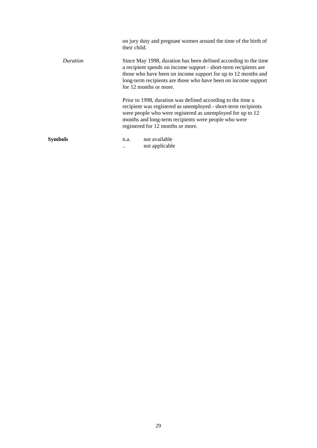|                | on jury duty and pregnant women around the time of the birth of<br>their child.                                                                                                                                                                                                                  |
|----------------|--------------------------------------------------------------------------------------------------------------------------------------------------------------------------------------------------------------------------------------------------------------------------------------------------|
| Duration       | Since May 1998, duration has been defined according to the time<br>a recipient spends on income support - short-term recipients are<br>those who have been on income support for up to 12 months and<br>long-term recipients are those who have been on income support<br>for 12 months or more. |
|                | Prior to 1998, duration was defined according to the time a<br>recipient was registered as unemployed - short-term recipients<br>were people who were registered as unemployed for up to 12<br>months and long-term recipients were people who were<br>registered for 12 months or more.         |
| <b>Symbols</b> | not available<br>n.a.<br>not applicable                                                                                                                                                                                                                                                          |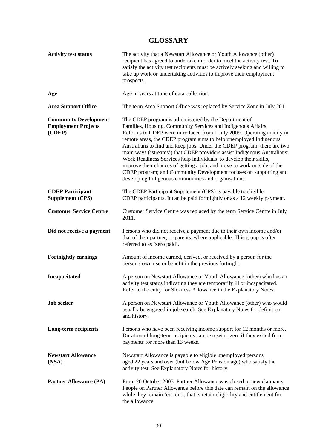## **GLOSSARY**

| <b>Activity test status</b>                                          | The activity that a Newstart Allowance or Youth Allowance (other)<br>recipient has agreed to undertake in order to meet the activity test. To<br>satisfy the activity test recipients must be actively seeking and willing to<br>take up work or undertaking activities to improve their employment<br>prospects.                                                                                                                                                                                                                                                                                                                                                                                         |
|----------------------------------------------------------------------|-----------------------------------------------------------------------------------------------------------------------------------------------------------------------------------------------------------------------------------------------------------------------------------------------------------------------------------------------------------------------------------------------------------------------------------------------------------------------------------------------------------------------------------------------------------------------------------------------------------------------------------------------------------------------------------------------------------|
| Age                                                                  | Age in years at time of data collection.                                                                                                                                                                                                                                                                                                                                                                                                                                                                                                                                                                                                                                                                  |
| <b>Area Support Office</b>                                           | The term Area Support Office was replaced by Service Zone in July 2011.                                                                                                                                                                                                                                                                                                                                                                                                                                                                                                                                                                                                                                   |
| <b>Community Development</b><br><b>Employment Projects</b><br>(CDEP) | The CDEP program is administered by the Department of<br>Families, Housing, Community Services and Indigenous Affairs.<br>Reforms to CDEP were introduced from 1 July 2009. Operating mainly in<br>remote areas, the CDEP program aims to help unemployed Indigenous<br>Australians to find and keep jobs. Under the CDEP program, there are two<br>main ways ('streams') that CDEP providers assist Indigenous Australians:<br>Work Readiness Services help individuals to develop their skills,<br>improve their chances of getting a job, and move to work outside of the<br>CDEP program; and Community Development focuses on supporting and<br>developing Indigenous communities and organisations. |
| <b>CDEP Participant</b><br><b>Supplement (CPS)</b>                   | The CDEP Participant Supplement (CPS) is payable to eligible<br>CDEP participants. It can be paid fortnightly or as a 12 weekly payment.                                                                                                                                                                                                                                                                                                                                                                                                                                                                                                                                                                  |
| <b>Customer Service Centre</b>                                       | Customer Service Centre was replaced by the term Service Centre in July<br>2011.                                                                                                                                                                                                                                                                                                                                                                                                                                                                                                                                                                                                                          |
| Did not receive a payment                                            | Persons who did not receive a payment due to their own income and/or<br>that of their partner, or parents, where applicable. This group is often<br>referred to as 'zero paid'.                                                                                                                                                                                                                                                                                                                                                                                                                                                                                                                           |
| <b>Fortnightly earnings</b>                                          | Amount of income earned, derived, or received by a person for the<br>person's own use or benefit in the previous fortnight.                                                                                                                                                                                                                                                                                                                                                                                                                                                                                                                                                                               |
| Incapacitated                                                        | A person on Newstart Allowance or Youth Allowance (other) who has an<br>activity test status indicating they are temporarily ill or incapacitated.<br>Refer to the entry for Sickness Allowance in the Explanatory Notes.                                                                                                                                                                                                                                                                                                                                                                                                                                                                                 |
| <b>Job</b> seeker                                                    | A person on Newstart Allowance or Youth Allowance (other) who would<br>usually be engaged in job search. See Explanatory Notes for definition<br>and history.                                                                                                                                                                                                                                                                                                                                                                                                                                                                                                                                             |
| Long-term recipients                                                 | Persons who have been receiving income support for 12 months or more.<br>Duration of long-term recipients can be reset to zero if they exited from<br>payments for more than 13 weeks.                                                                                                                                                                                                                                                                                                                                                                                                                                                                                                                    |
| <b>Newstart Allowance</b><br>(NSA)                                   | Newstart Allowance is payable to eligible unemployed persons<br>aged 22 years and over (but below Age Pension age) who satisfy the<br>activity test. See Explanatory Notes for history.                                                                                                                                                                                                                                                                                                                                                                                                                                                                                                                   |
| <b>Partner Allowance (PA)</b>                                        | From 20 October 2003, Partner Allowance was closed to new claimants.<br>People on Partner Allowance before this date can remain on the allowance<br>while they remain 'current', that is retain eligibility and entitlement for<br>the allowance.                                                                                                                                                                                                                                                                                                                                                                                                                                                         |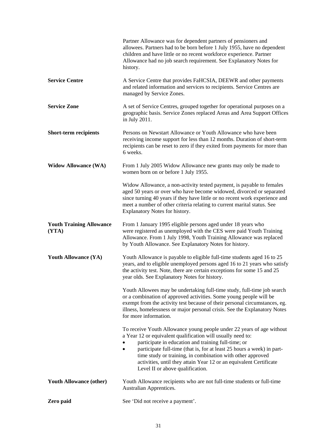|                                          | Partner Allowance was for dependent partners of pensioners and<br>allowees. Partners had to be born before 1 July 1955, have no dependent<br>children and have little or no recent workforce experience. Partner<br>Allowance had no job search requirement. See Explanatory Notes for<br>history.                                                                                                                                            |
|------------------------------------------|-----------------------------------------------------------------------------------------------------------------------------------------------------------------------------------------------------------------------------------------------------------------------------------------------------------------------------------------------------------------------------------------------------------------------------------------------|
| <b>Service Centre</b>                    | A Service Centre that provides FaHCSIA, DEEWR and other payments<br>and related information and services to recipients. Service Centres are<br>managed by Service Zones.                                                                                                                                                                                                                                                                      |
| <b>Service Zone</b>                      | A set of Service Centres, grouped together for operational purposes on a<br>geographic basis. Service Zones replaced Areas and Area Support Offices<br>in July 2011.                                                                                                                                                                                                                                                                          |
| <b>Short-term recipients</b>             | Persons on Newstart Allowance or Youth Allowance who have been<br>receiving income support for less than 12 months. Duration of short-term<br>recipients can be reset to zero if they exited from payments for more than<br>6 weeks.                                                                                                                                                                                                          |
| <b>Widow Allowance (WA)</b>              | From 1 July 2005 Widow Allowance new grants may only be made to<br>women born on or before 1 July 1955.                                                                                                                                                                                                                                                                                                                                       |
|                                          | Widow Allowance, a non-activity tested payment, is payable to females<br>aged 50 years or over who have become widowed, divorced or separated<br>since turning 40 years if they have little or no recent work experience and<br>meet a number of other criteria relating to current marital status. See<br>Explanatory Notes for history.                                                                                                     |
| <b>Youth Training Allowance</b><br>(YTA) | From 1 January 1995 eligible persons aged under 18 years who<br>were registered as unemployed with the CES were paid Youth Training<br>Allowance. From 1 July 1998, Youth Training Allowance was replaced<br>by Youth Allowance. See Explanatory Notes for history.                                                                                                                                                                           |
| <b>Youth Allowance (YA)</b>              | Youth Allowance is payable to eligible full-time students aged 16 to 25<br>years, and to eligible unemployed persons aged 16 to 21 years who satisfy<br>the activity test. Note, there are certain exceptions for some 15 and 25<br>year olds. See Explanatory Notes for history.                                                                                                                                                             |
|                                          | Youth Allowees may be undertaking full-time study, full-time job search<br>or a combination of approved activities. Some young people will be<br>exempt from the activity test because of their personal circumstances, eg.<br>illness, homelessness or major personal crisis. See the Explanatory Notes<br>for more information.                                                                                                             |
|                                          | To receive Youth Allowance young people under 22 years of age without<br>a Year 12 or equivalent qualification will usually need to:<br>participate in education and training full-time; or<br>participate full-time (that is, for at least 25 hours a week) in part-<br>time study or training, in combination with other approved<br>activities, until they attain Year 12 or an equivalent Certificate<br>Level II or above qualification. |
| <b>Youth Allowance (other)</b>           | Youth Allowance recipients who are not full-time students or full-time<br>Australian Apprentices.                                                                                                                                                                                                                                                                                                                                             |
| Zero paid                                | See 'Did not receive a payment'.                                                                                                                                                                                                                                                                                                                                                                                                              |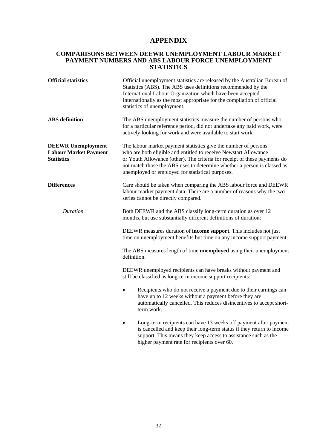## **APPENDIX**

#### **COMPARISONS BETWEEN DEEWR UNEMPLOYMENT LABOUR MARKET PAYMENT NUMBERS AND ABS LABOUR FORCE UNEMPLOYMENT STATISTICS**

| <b>Official statistics</b>                                                     | Official unemployment statistics are released by the Australian Bureau of<br>Statistics (ABS). The ABS uses definitions recommended by the<br>International Labour Organization which have been accepted<br>internationally as the most appropriate for the compilation of official<br>statistics of unemployment.                               |
|--------------------------------------------------------------------------------|--------------------------------------------------------------------------------------------------------------------------------------------------------------------------------------------------------------------------------------------------------------------------------------------------------------------------------------------------|
| <b>ABS</b> definition                                                          | The ABS unemployment statistics measure the number of persons who,<br>for a particular reference period, did not undertake any paid work, were<br>actively looking for work and were available to start work.                                                                                                                                    |
| <b>DEEWR Unemployment</b><br><b>Labour Market Payment</b><br><b>Statistics</b> | The labour market payment statistics give the number of persons<br>who are both eligible and entitled to receive Newstart Allowance<br>or Youth Allowance (other). The criteria for receipt of these payments do<br>not match those the ABS uses to determine whether a person is classed as<br>unemployed or employed for statistical purposes. |
| <b>Differences</b>                                                             | Care should be taken when comparing the ABS labour force and DEEWR<br>labour market payment data. There are a number of reasons why the two<br>series cannot be directly compared.                                                                                                                                                               |
| <b>Duration</b>                                                                | Both DEEWR and the ABS classify long-term duration as over 12<br>months, but use substantially different definitions of duration:                                                                                                                                                                                                                |
|                                                                                | DEEWR measures duration of <b>income support</b> . This includes not just<br>time on unemployment benefits but time on any income support payment.                                                                                                                                                                                               |
|                                                                                | The ABS measures length of time <b>unemployed</b> using their unemployment<br>definition.                                                                                                                                                                                                                                                        |
|                                                                                | DEEWR unemployed recipients can have breaks without payment and<br>still be classified as long-term income support recipients:                                                                                                                                                                                                                   |
|                                                                                | Recipients who do not receive a payment due to their earnings can<br>$\bullet$<br>have up to 12 weeks without a payment before they are<br>automatically cancelled. This reduces disincentives to accept short-<br>term work.                                                                                                                    |
|                                                                                | Long-term recipients can have 13 weeks off payment after payment<br>is cancelled and keep their long-term status if they return to income<br>support. This means they keep access to assistance such as the                                                                                                                                      |

higher payment rate for recipients over 60.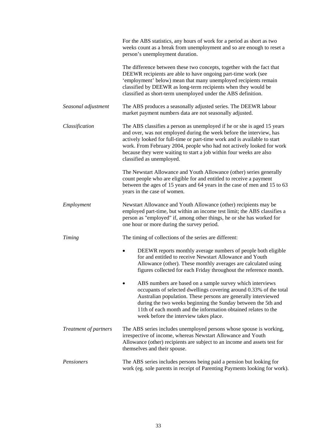|                       | For the ABS statistics, any hours of work for a period as short as two<br>weeks count as a break from unemployment and so are enough to reset a<br>person's unemployment duration.                                                                                                                                                                                                                        |
|-----------------------|-----------------------------------------------------------------------------------------------------------------------------------------------------------------------------------------------------------------------------------------------------------------------------------------------------------------------------------------------------------------------------------------------------------|
|                       | The difference between these two concepts, together with the fact that<br>DEEWR recipients are able to have ongoing part-time work (see<br>'employment' below) mean that many unemployed recipients remain<br>classified by DEEWR as long-term recipients when they would be<br>classified as short-term unemployed under the ABS definition.                                                             |
| Seasonal adjustment   | The ABS produces a seasonally adjusted series. The DEEWR labour<br>market payment numbers data are not seasonally adjusted.                                                                                                                                                                                                                                                                               |
| Classification        | The ABS classifies a person as unemployed if he or she is aged 15 years<br>and over, was not employed during the week before the interview, has<br>actively looked for full-time or part-time work and is available to start<br>work. From February 2004, people who had not actively looked for work<br>because they were waiting to start a job within four weeks are also<br>classified as unemployed. |
|                       | The Newstart Allowance and Youth Allowance (other) series generally<br>count people who are eligible for and entitled to receive a payment<br>between the ages of 15 years and 64 years in the case of men and 15 to 63<br>years in the case of women.                                                                                                                                                    |
| Employment            | Newstart Allowance and Youth Allowance (other) recipients may be<br>employed part-time, but within an income test limit; the ABS classifies a<br>person as "employed" if, among other things, he or she has worked for<br>one hour or more during the survey period.                                                                                                                                      |
| <b>Timing</b>         | The timing of collections of the series are different:                                                                                                                                                                                                                                                                                                                                                    |
|                       | DEEWR reports monthly average numbers of people both eligible<br>$\bullet$<br>for and entitled to receive Newstart Allowance and Youth<br>Allowance (other). These monthly averages are calculated using<br>figures collected for each Friday throughout the reference month.                                                                                                                             |
|                       | ABS numbers are based on a sample survey which interviews<br>occupants of selected dwellings covering around 0.33% of the total<br>Australian population. These persons are generally interviewed<br>during the two weeks beginning the Sunday between the 5th and<br>11th of each month and the information obtained relates to the<br>week before the interview takes place.                            |
| Treatment of partners | The ABS series includes unemployed persons whose spouse is working,<br>irrespective of income, whereas Newstart Allowance and Youth<br>Allowance (other) recipients are subject to an income and assets test for<br>themselves and their spouse.                                                                                                                                                          |
| Pensioners            | The ABS series includes persons being paid a pension but looking for<br>work (eg. sole parents in receipt of Parenting Payments looking for work).                                                                                                                                                                                                                                                        |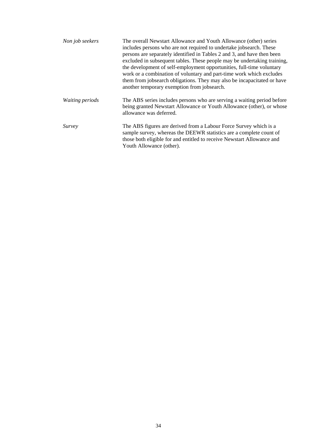| Non job seekers        | The overall Newstart Allowance and Youth Allowance (other) series<br>includes persons who are not required to undertake jobsearch. These<br>persons are separately identified in Tables 2 and 3, and have then been<br>excluded in subsequent tables. These people may be undertaking training,<br>the development of self-employment opportunities, full-time voluntary<br>work or a combination of voluntary and part-time work which excludes<br>them from jobsearch obligations. They may also be incapacitated or have<br>another temporary exemption from jobsearch. |
|------------------------|----------------------------------------------------------------------------------------------------------------------------------------------------------------------------------------------------------------------------------------------------------------------------------------------------------------------------------------------------------------------------------------------------------------------------------------------------------------------------------------------------------------------------------------------------------------------------|
| <i>Waiting periods</i> | The ABS series includes persons who are serving a waiting period before<br>being granted Newstart Allowance or Youth Allowance (other), or whose<br>allowance was deferred.                                                                                                                                                                                                                                                                                                                                                                                                |
| Survey                 | The ABS figures are derived from a Labour Force Survey which is a<br>sample survey, whereas the DEEWR statistics are a complete count of<br>those both eligible for and entitled to receive Newstart Allowance and<br>Youth Allowance (other).                                                                                                                                                                                                                                                                                                                             |